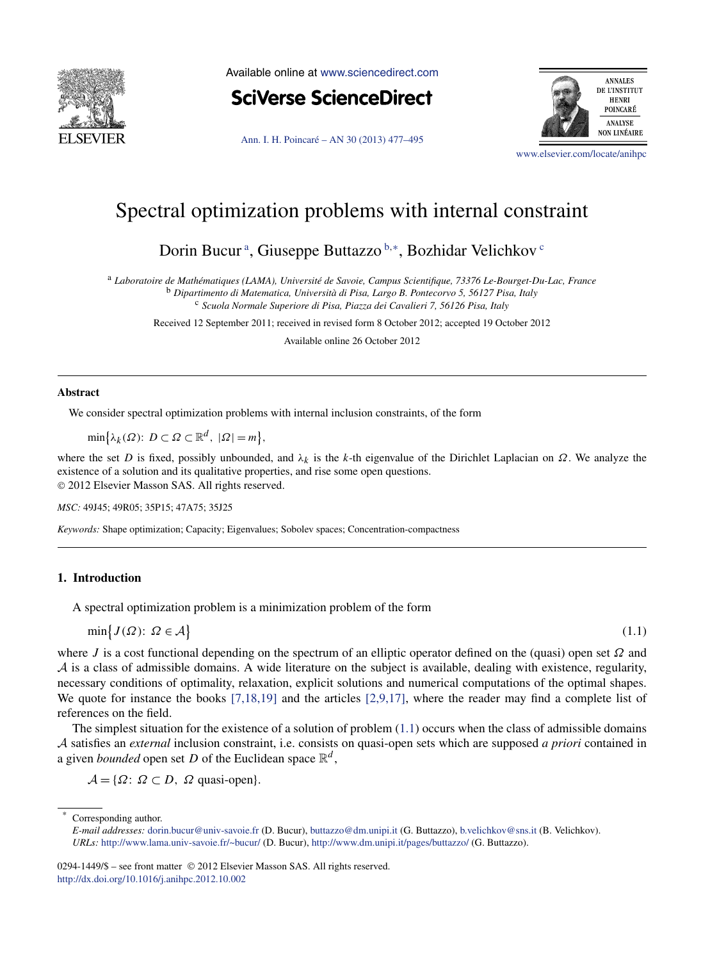<span id="page-0-0"></span>

Available online at [www.sciencedirect.com](http://www.sciencedirect.com)

**SciVerse ScienceDirect** 

[Ann. I. H. Poincaré – AN 30 \(2013\) 477–495](http://dx.doi.org/10.1016/j.anihpc.2012.10.002)



[www.elsevier.com/locate/anihpc](http://www.elsevier.com/locate/anihpc)

# Spectral optimization problems with internal constraint

Dorin Bucur<sup>a</sup>, Giuseppe Buttazzo<sup>b,\*</sup>, Bozhidar Velichkov<sup>c</sup>

<sup>a</sup> *Laboratoire de Mathématiques (LAMA), Université de Savoie, Campus Scientifique, 73376 Le-Bourget-Du-Lac, France* <sup>b</sup> *Dipartimento di Matematica, Università di Pisa, Largo B. Pontecorvo 5, 56127 Pisa, Italy* <sup>c</sup> *Scuola Normale Superiore di Pisa, Piazza dei Cavalieri 7, 56126 Pisa, Italy*

Received 12 September 2011; received in revised form 8 October 2012; accepted 19 October 2012

Available online 26 October 2012

## **Abstract**

We consider spectral optimization problems with internal inclusion constraints, of the form

 $\min\{\lambda_k(\Omega): D \subset \Omega \subset \mathbb{R}^d, |\Omega| = m\},\$ 

where the set *D* is fixed, possibly unbounded, and  $\lambda_k$  is the *k*-th eigenvalue of the Dirichlet Laplacian on  $\Omega$ . We analyze the existence of a solution and its qualitative properties, and rise some open questions. © 2012 Elsevier Masson SAS. All rights reserved.

*MSC:* 49J45; 49R05; 35P15; 47A75; 35J25

*Keywords:* Shape optimization; Capacity; Eigenvalues; Sobolev spaces; Concentration-compactness

# **1. Introduction**

A spectral optimization problem is a minimization problem of the form

$$
\min\big\{J(\Omega)\colon\Omega\in\mathcal{A}\big\}
$$

 $\{1.1\}$ 

where *J* is a cost functional depending on the spectrum of an elliptic operator defined on the (quasi) open set *Ω* and  $A$  is a class of admissible domains. A wide literature on the subject is available, dealing with existence, regularity, necessary conditions of optimality, relaxation, explicit solutions and numerical computations of the optimal shapes. We quote for instance the books [\[7,18,19\]](#page-18-0) and the articles [\[2,9,17\],](#page-18-0) where the reader may find a complete list of references on the field.

The simplest situation for the existence of a solution of problem  $(1.1)$  occurs when the class of admissible domains A satisfies an *external* inclusion constraint, i.e. consists on quasi-open sets which are supposed *a priori* contained in a given *bounded* open set *D* of the Euclidean space  $\mathbb{R}^d$ ,

 $\mathcal{A} = \{ \Omega : \Omega \subset D, \Omega \text{ quasi-open} \}.$ 

Corresponding author.

0294-1449/\$ – see front matter © 2012 Elsevier Masson SAS. All rights reserved. <http://dx.doi.org/10.1016/j.anihpc.2012.10.002>

*E-mail addresses:* [dorin.bucur@univ-savoie.fr](mailto:dorin.bucur@univ-savoie.fr) (D. Bucur), [buttazzo@dm.unipi.it](mailto:buttazzo@dm.unipi.it) (G. Buttazzo), [b.velichkov@sns.it](mailto:b.velichkov@sns.it) (B. Velichkov). *URLs:* <http://www.lama.univ-savoie.fr/~bucur/> (D. Bucur), <http://www.dm.unipi.it/pages/buttazzo/> (G. Buttazzo).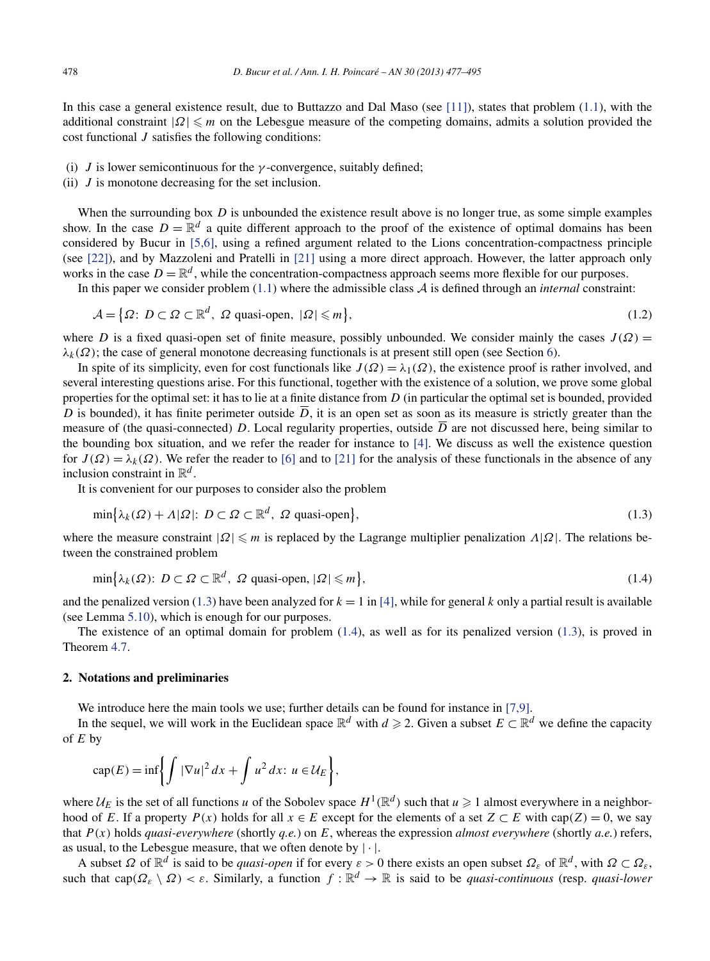<span id="page-1-0"></span>In this case a general existence result, due to Buttazzo and Dal Maso (see [\[11\]\)](#page-18-0), states that problem [\(1.1\)](#page-0-0), with the additional constraint  $|Ω| \leqslant m$  on the Lebesgue measure of the competing domains, admits a solution provided the cost functional *J* satisfies the following conditions:

- (i) *J* is lower semicontinuous for the  $\gamma$ -convergence, suitably defined;
- (ii) *J* is monotone decreasing for the set inclusion.

When the surrounding box *D* is unbounded the existence result above is no longer true, as some simple examples show. In the case  $D = \mathbb{R}^d$  a quite different approach to the proof of the existence of optimal domains has been considered by Bucur in [\[5,6\],](#page-18-0) using a refined argument related to the Lions concentration-compactness principle (see [\[22\]\)](#page-18-0), and by Mazzoleni and Pratelli in [\[21\]](#page-18-0) using a more direct approach. However, the latter approach only works in the case  $D = \mathbb{R}^d$ , while the concentration-compactness approach seems more flexible for our purposes.

In this paper we consider problem  $(1.1)$  where the admissible class  $A$  is defined through an *internal* constraint:

$$
\mathcal{A} = \{ \Omega \colon D \subset \Omega \subset \mathbb{R}^d, \ \Omega \text{ quasi-open, } |\Omega| \leq m \},\tag{1.2}
$$

where *D* is a fixed quasi-open set of finite measure, possibly unbounded. We consider mainly the cases  $J(\Omega)$  =  $\lambda_k(\Omega)$ ; the case of general monotone decreasing functionals is at present still open (see Section [6\)](#page-16-0).

In spite of its simplicity, even for cost functionals like  $J(\Omega) = \lambda_1(\Omega)$ , the existence proof is rather involved, and several interesting questions arise. For this functional, together with the existence of a solution, we prove some global properties for the optimal set: it has to lie at a finite distance from *D* (in particular the optimal set is bounded, provided *D* is bounded), it has finite perimeter outside  $\overline{D}$ , it is an open set as soon as its measure is strictly greater than the measure of (the quasi-connected) *D*. Local regularity properties, outside  $\overline{D}$  are not discussed here, being similar to the bounding box situation, and we refer the reader for instance to [\[4\].](#page-18-0) We discuss as well the existence question for  $J(\Omega) = \lambda_k(\Omega)$ . We refer the reader to [\[6\]](#page-18-0) and to [\[21\]](#page-18-0) for the analysis of these functionals in the absence of any inclusion constraint in  $\mathbb{R}^d$ .

It is convenient for our purposes to consider also the problem

$$
\min\{\lambda_k(\Omega) + \Lambda|\Omega|: D \subset \Omega \subset \mathbb{R}^d, \ \Omega \text{ quasi-open}\},\tag{1.3}
$$

where the measure constraint  $|\Omega| \le m$  is replaced by the Lagrange multiplier penalization  $\Lambda |\Omega|$ . The relations between the constrained problem

$$
\min\{\lambda_k(\Omega)\colon D \subset \Omega \subset \mathbb{R}^d, \ \Omega \text{ quasi-open, } |\Omega| \leq m\},\tag{1.4}
$$

and the penalized version (1.3) have been analyzed for  $k = 1$  in [\[4\],](#page-18-0) while for general k only a partial result is available (see Lemma [5.10\)](#page-11-0), which is enough for our purposes.

The existence of an optimal domain for problem (1.4), as well as for its penalized version (1.3), is proved in Theorem [4.7.](#page-7-0)

## **2. Notations and preliminaries**

We introduce here the main tools we use; further details can be found for instance in [\[7,9\].](#page-18-0)

In the sequel, we will work in the Euclidean space  $\mathbb{R}^d$  with  $d \geq 2$ . Given a subset  $E \subset \mathbb{R}^d$  we define the capacity of *E* by

$$
\operatorname{cap}(E) = \inf \biggl\{ \int |\nabla u|^2 \, dx + \int u^2 \, dx \colon u \in \mathcal{U}_E \biggr\},
$$

where  $U_E$  is the set of all functions *u* of the Sobolev space  $H^1(\mathbb{R}^d)$  such that  $u \ge 1$  almost everywhere in a neighborhood of *E*. If a property  $P(x)$  holds for all  $x \in E$  except for the elements of a set  $Z \subset E$  with cap $(Z) = 0$ , we say that *P(x)* holds *quasi-everywhere* (shortly *q.e.*) on *E*, whereas the expression *almost everywhere* (shortly *a.e.*) refers, as usual, to the Lebesgue measure, that we often denote by  $|\cdot|$ .

A subset  $\Omega$  of  $\mathbb{R}^d$  is said to be *quasi-open* if for every  $\varepsilon > 0$  there exists an open subset  $\Omega_{\varepsilon}$  of  $\mathbb{R}^d$ , with  $\Omega \subset \Omega_{\varepsilon}$ , such that cap $(\Omega_{\varepsilon} \setminus \Omega) < \varepsilon$ . Similarly, a function  $f : \mathbb{R}^d \to \mathbb{R}$  is said to be *quasi-continuous* (resp. *quasi-lower*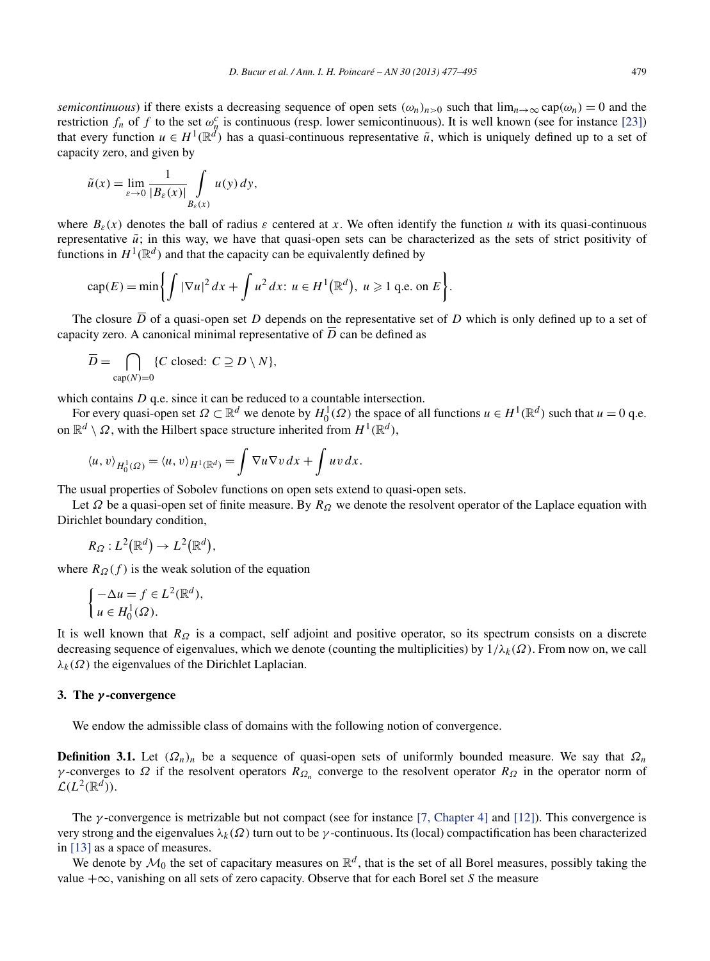*semicontinuous*) if there exists a decreasing sequence of open sets  $(\omega_n)_{n>0}$  such that  $\lim_{n\to\infty}$  cap $(\omega_n)=0$  and the restriction  $f_n$  of  $f$  to the set  $\omega_n^c$  is continuous (resp. lower semicontinuous). It is well known (see for instance [\[23\]\)](#page-18-0) that every function  $u \in H^1(\mathbb{R}^d)$  has a quasi-continuous representative  $\tilde{u}$ , which is uniquely defined up to a set of capacity zero, and given by

$$
\tilde{u}(x) = \lim_{\varepsilon \to 0} \frac{1}{|B_{\varepsilon}(x)|} \int\limits_{B_{\varepsilon}(x)} u(y) \, dy,
$$

where  $B_{\varepsilon}(x)$  denotes the ball of radius  $\varepsilon$  centered at x. We often identify the function *u* with its quasi-continuous representative  $\tilde{u}$ ; in this way, we have that quasi-open sets can be characterized as the sets of strict positivity of functions in  $H^1(\mathbb{R}^d)$  and that the capacity can be equivalently defined by

$$
\operatorname{cap}(E) = \min\biggl\{\int |\nabla u|^2 dx + \int u^2 dx : u \in H^1(\mathbb{R}^d), u \geqslant 1 \text{ q.e. on } E\biggr\}.
$$

The closure  $\overline{D}$  of a quasi-open set *D* depends on the representative set of *D* which is only defined up to a set of capacity zero. A canonical minimal representative of  $\overline{D}$  can be defined as

$$
\overline{D} = \bigcap_{\text{cap}(N)=0} \{C \text{ closed: } C \supseteq D \setminus N\},\
$$

which contains *D* q.e. since it can be reduced to a countable intersection.

For every quasi-open set  $\Omega \subset \mathbb{R}^d$  we denote by  $H_0^1(\Omega)$  the space of all functions  $u \in H^1(\mathbb{R}^d)$  such that  $u = 0$  q.e. on  $\mathbb{R}^d \setminus \Omega$ , with the Hilbert space structure inherited from  $H^1(\mathbb{R}^d)$ ,

$$
\langle u, v \rangle_{H_0^1(\Omega)} = \langle u, v \rangle_{H^1(\mathbb{R}^d)} = \int \nabla u \nabla v \, dx + \int uv \, dx.
$$

The usual properties of Sobolev functions on open sets extend to quasi-open sets.

Let *Ω* be a quasi-open set of finite measure. By *RΩ* we denote the resolvent operator of the Laplace equation with Dirichlet boundary condition,

$$
R_{\Omega}: L^2(\mathbb{R}^d) \to L^2(\mathbb{R}^d),
$$

where  $R_{\Omega}(f)$  is the weak solution of the equation

$$
\begin{cases}\n-\Delta u = f \in L^2(\mathbb{R}^d), \\
u \in H_0^1(\Omega).\n\end{cases}
$$

It is well known that  $R_{\Omega}$  is a compact, self adjoint and positive operator, so its spectrum consists on a discrete decreasing sequence of eigenvalues, which we denote (counting the multiplicities) by  $1/\lambda_k(\Omega)$ . From now on, we call  $\lambda_k(\Omega)$  the eigenvalues of the Dirichlet Laplacian.

## **3. The** *γ* **-convergence**

We endow the admissible class of domains with the following notion of convergence.

**Definition 3.1.** Let  $(Q_n)_n$  be a sequence of quasi-open sets of uniformly bounded measure. We say that  $\Omega_n$ *γ* -converges to *Ω* if the resolvent operators  $R_{Ω_n}$  converge to the resolvent operator  $R_{Ω}$  in the operator norm of  $\mathcal{L}(L^2(\mathbb{R}^d)).$ 

The *γ* -convergence is metrizable but not compact (see for instance [\[7, Chapter 4\]](#page-18-0) and [\[12\]\)](#page-18-0). This convergence is very strong and the eigenvalues  $\lambda_k(\Omega)$  turn out to be *γ*-continuous. Its (local) compactification has been characterized in [\[13\]](#page-18-0) as a space of measures.

We denote by  $\mathcal{M}_0$  the set of capacitary measures on  $\mathbb{R}^d$ , that is the set of all Borel measures, possibly taking the value +∞, vanishing on all sets of zero capacity. Observe that for each Borel set *S* the measure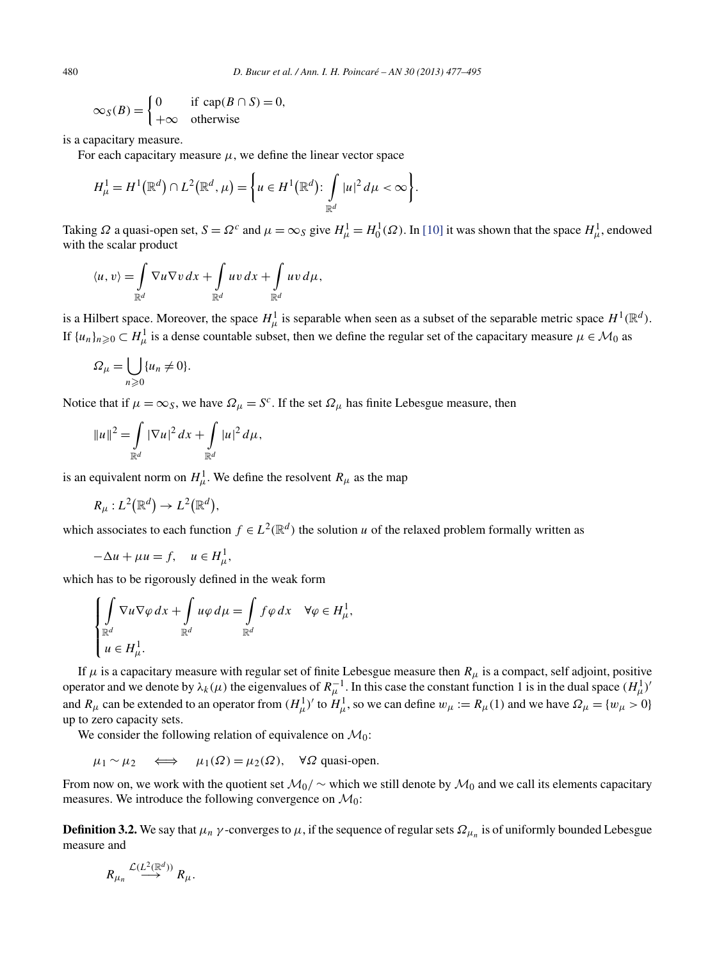$$
\infty_S(B) = \begin{cases} 0 & \text{if } \text{cap}(B \cap S) = 0, \\ +\infty & \text{otherwise} \end{cases}
$$

is a capacitary measure.

For each capacitary measure  $\mu$ , we define the linear vector space

$$
H^1_\mu = H^1(\mathbb{R}^d) \cap L^2(\mathbb{R}^d, \mu) = \left\{ u \in H^1(\mathbb{R}^d) : \int_{\mathbb{R}^d} |u|^2 d\mu < \infty \right\}.
$$

Taking  $\Omega$  a quasi-open set,  $S = \Omega^c$  and  $\mu = \infty_S$  give  $H^1_\mu = H^1_0(\Omega)$ . In [\[10\]](#page-18-0) it was shown that the space  $H^1_\mu$ , endowed with the scalar product

$$
\langle u, v \rangle = \int_{\mathbb{R}^d} \nabla u \nabla v \, dx + \int_{\mathbb{R}^d} u v \, dx + \int_{\mathbb{R}^d} u v \, d\mu,
$$

is a Hilbert space. Moreover, the space  $H^1_\mu$  is separable when seen as a subset of the separable metric space  $H^1(\mathbb{R}^d)$ . If  $\{u_n\}_{n\geq 0} \subset H^1_\mu$  is a dense countable subset, then we define the regular set of the capacitary measure  $\mu \in \mathcal{M}_0$  as

$$
\Omega_{\mu} = \bigcup_{n \geq 0} \{u_n \neq 0\}.
$$

Notice that if  $\mu = \infty_S$ , we have  $\Omega_\mu = S^c$ . If the set  $\Omega_\mu$  has finite Lebesgue measure, then

$$
||u||^2 = \int_{\mathbb{R}^d} |\nabla u|^2 \, dx + \int_{\mathbb{R}^d} |u|^2 \, d\mu,
$$

is an equivalent norm on  $H^1_\mu$ . We define the resolvent  $R_\mu$  as the map

$$
R_{\mu}: L^2(\mathbb{R}^d) \to L^2(\mathbb{R}^d),
$$

which associates to each function  $f \in L^2(\mathbb{R}^d)$  the solution *u* of the relaxed problem formally written as

$$
-\Delta u + \mu u = f, \quad u \in H^1_\mu,
$$

which has to be rigorously defined in the weak form

$$
\begin{cases}\n\int \nabla u \nabla \varphi \, dx + \int \nabla u \varphi \, d\mu = \int \nabla u \, d\mu, \\
\mathbb{R}^d & \mathbb{R}^d\n\end{cases}
$$
\n
$$
u \in H^1_\mu.
$$

If  $\mu$  is a capacitary measure with regular set of finite Lebesgue measure then  $R_\mu$  is a compact, self adjoint, positive operator and we denote by  $\lambda_k(\mu)$  the eigenvalues of  $R_\mu^{-1}$ . In this case the constant function 1 is in the dual space  $(H_\mu^1)'$ and  $R_\mu$  can be extended to an operator from  $(H_\mu^1)'$  to  $H_\mu^1$ , so we can define  $w_\mu := R_\mu(1)$  and we have  $\Omega_\mu = \{w_\mu > 0\}$ up to zero capacity sets.

We consider the following relation of equivalence on  $\mathcal{M}_0$ :

 $\mu_1 \sim \mu_2 \iff \mu_1(\Omega) = \mu_2(\Omega)$ ,  $\forall \Omega$  quasi-open.

From now on, we work with the quotient set  $M_0/\sim$  which we still denote by  $M_0$  and we call its elements capacitary measures. We introduce the following convergence on  $\mathcal{M}_0$ :

**Definition 3.2.** We say that  $\mu_n \gamma$ -converges to  $\mu$ , if the sequence of regular sets  $\Omega_{\mu_n}$  is of uniformly bounded Lebesgue measure and

$$
R_{\mu_n} \stackrel{\mathcal{L}(L^2(\mathbb{R}^d))}{\longrightarrow} R_\mu.
$$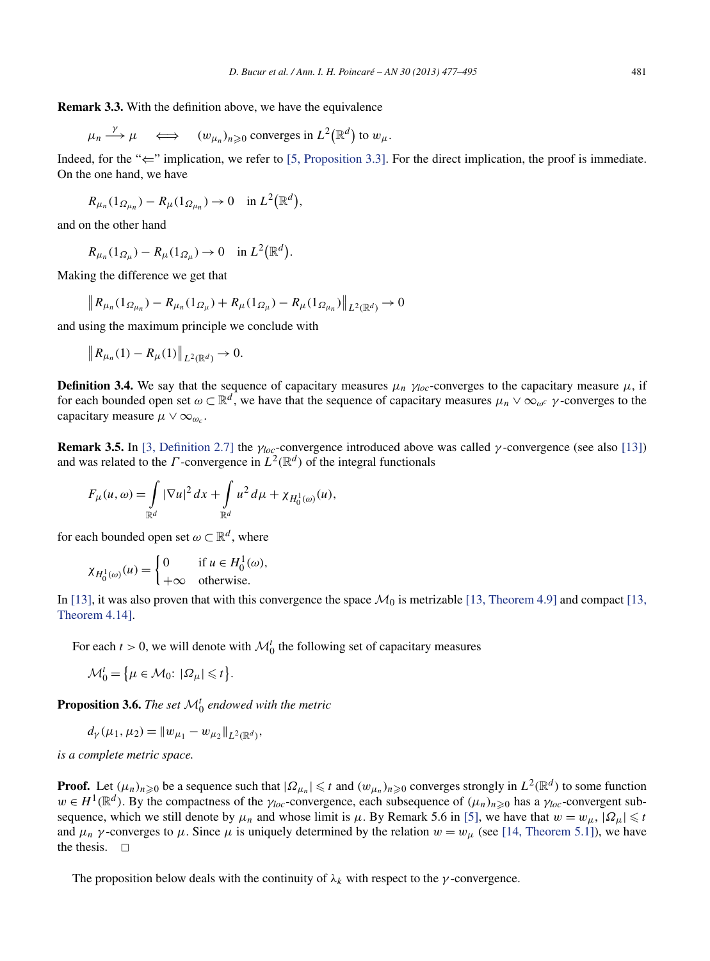<span id="page-4-0"></span>
$$
\mu_n \xrightarrow{\gamma} \mu \iff (w_{\mu_n})_{n \geq 0}
$$
 converges in  $L^2(\mathbb{R}^d)$  to  $w_\mu$ .

Indeed, for the " $\leftarrow$ " implication, we refer to [\[5, Proposition 3.3\].](#page-18-0) For the direct implication, the proof is immediate. On the one hand, we have

$$
R_{\mu_n}(1_{\Omega_{\mu_n}})-R_{\mu}(1_{\Omega_{\mu_n}})\to 0 \quad \text{in } L^2(\mathbb{R}^d),
$$

and on the other hand

$$
R_{\mu_n}(1_{\Omega_\mu}) - R_\mu(1_{\Omega_\mu}) \to 0 \quad \text{in } L^2(\mathbb{R}^d).
$$

Making the difference we get that

$$
\left\| R_{\mu_n}(1_{\Omega_{\mu_n}}) - R_{\mu_n}(1_{\Omega_{\mu}}) + R_{\mu}(1_{\Omega_{\mu}}) - R_{\mu}(1_{\Omega_{\mu_n}}) \right\|_{L^2(\mathbb{R}^d)} \to 0
$$

and using the maximum principle we conclude with

$$
\|R_{\mu_n}(1) - R_{\mu}(1)\|_{L^2(\mathbb{R}^d)} \to 0.
$$

**Definition 3.4.** We say that the sequence of capacitary measures  $\mu_n$   $\gamma_{loc}$ -converges to the capacitary measure  $\mu$ , if for each bounded open set  $\omega \subset \mathbb{R}^d$ , we have that the sequence of capacitary measures  $\mu_n \vee \infty_{\omega^c}$  *γ*-converges to the capacitary measure  $\mu \vee \infty_{\omega_c}$ .

**Remark 3.5.** In [\[3, Definition 2.7\]](#page-18-0) the  $\gamma_{loc}$ -convergence introduced above was called  $\gamma$ -convergence (see also [\[13\]\)](#page-18-0) and was related to the *Γ*-convergence in  $L^2(\mathbb{R}^d)$  of the integral functionals

$$
F_{\mu}(u,\omega) = \int_{\mathbb{R}^d} |\nabla u|^2 dx + \int_{\mathbb{R}^d} u^2 d\mu + \chi_{H_0^1(\omega)}(u),
$$

for each bounded open set  $\omega \subset \mathbb{R}^d$ , where

$$
\chi_{H_0^1(\omega)}(u) = \begin{cases} 0 & \text{if } u \in H_0^1(\omega), \\ +\infty & \text{otherwise.} \end{cases}
$$

In [\[13\],](#page-18-0) it was also proven that with this convergence the space  $\mathcal{M}_0$  is metrizable [\[13, Theorem 4.9\]](#page-18-0) and compact [\[13,](#page-18-0) [Theorem 4.14\].](#page-18-0)

For each  $t > 0$ , we will denote with  $\mathcal{M}_0^t$  the following set of capacitary measures

$$
\mathcal{M}_0^t = \left\{ \mu \in \mathcal{M}_0 : |\Omega_\mu| \leq t \right\}.
$$

**Proposition 3.6.** *The set* <sup>M</sup>*<sup>t</sup>* <sup>0</sup> *endowed with the metric*

$$
d_{\gamma}(\mu_1, \mu_2) = ||w_{\mu_1} - w_{\mu_2}||_{L^2(\mathbb{R}^d)},
$$

*is a complete metric space.*

**Proof.** Let  $(\mu_n)_{n\geq 0}$  be a sequence such that  $|\Omega_{\mu_n}| \leq t$  and  $(w_{\mu_n})_{n\geq 0}$  converges strongly in  $L^2(\mathbb{R}^d)$  to some function  $w \in H^1(\mathbb{R}^d)$ . By the compactness of the  $\gamma_{loc}$ -convergence, each subsequence of  $(\mu_n)_{n \geq 0}$  has a  $\gamma_{loc}$ -convergent subsequence, which we still denote by  $\mu_n$  and whose limit is  $\mu$ . By Remark 5.6 in [\[5\],](#page-18-0) we have that  $w = w_{\mu}$ ,  $|\Omega_{\mu}| \leq n$ and  $\mu_n$  *γ*-converges to  $\mu$ . Since  $\mu$  is uniquely determined by the relation  $w = w_\mu$  (see [\[14, Theorem 5.1\]\)](#page-18-0), we have the thesis.  $\square$ 

The proposition below deals with the continuity of  $\lambda_k$  with respect to the *γ*-convergence.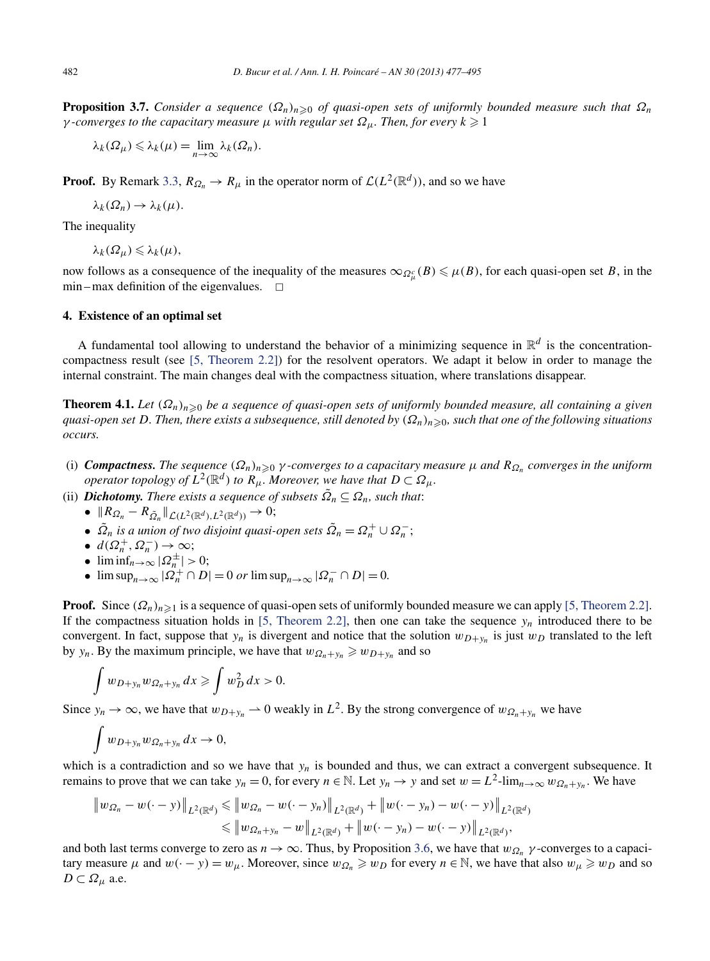<span id="page-5-0"></span>**Proposition 3.7.** *Consider a sequence*  $(Ω<sub>n</sub>)<sub>n≥0</sub>$  *of quasi-open sets of uniformly bounded measure such that*  $Ω<sub>n</sub>$ *γ -converges to the capacitary measure μ with regular set*  $\Omega$ <sub>*μ</sub>. Then, for every*  $k \geq 1$ </sub>

$$
\lambda_k(\Omega_\mu)\leqslant \lambda_k(\mu)=\lim_{n\to\infty}\lambda_k(\Omega_n).
$$

**Proof.** By Remark [3.3,](#page-4-0)  $R_{\Omega_n} \to R_\mu$  in the operator norm of  $\mathcal{L}(L^2(\mathbb{R}^d))$ , and so we have

$$
\lambda_k(\Omega_n)\to \lambda_k(\mu).
$$

The inequality

 $\lambda_k(\Omega_\mu) \leqslant \lambda_k(\mu),$ 

now follows as a consequence of the inequality of the measures  $\infty_{\Omega_\mu^c}(B) \leq \mu(B)$ , for each quasi-open set *B*, in the  $min - max$  definition of the eigenvalues.  $\Box$ 

#### **4. Existence of an optimal set**

A fundamental tool allowing to understand the behavior of a minimizing sequence in  $\mathbb{R}^d$  is the concentrationcompactness result (see [\[5, Theorem 2.2\]\)](#page-18-0) for the resolvent operators. We adapt it below in order to manage the internal constraint. The main changes deal with the compactness situation, where translations disappear.

**Theorem 4.1.** *Let*  $(Ω<sub>n</sub>)<sub>n≥0</sub>$  *be a sequence of quasi-open sets of uniformly bounded measure, all containing a given quasi-open set D. Then, there exists a subsequence, still denoted by (Ωn)n*-<sup>0</sup>*, such that one of the following situations occurs.*

- (i) *Compactness. The sequence (Ωn)n*-<sup>0</sup> *γ -converges to a capacitary measure μ and RΩn converges in the uniform operator topology of*  $L^2(\mathbb{R}^d)$  *to*  $R_\mu$ *. Moreover, we have that*  $D \subset \Omega_\mu$ *.*
- (ii) *Dichotomy. There exists a sequence of subsets*  $\Omega_n \subseteq \Omega_n$ *, such that*:
	- $\bullet$   $\parallel$ *R*<sub>Ω</sub><sup>n</sup></sub> − *R*<sub>Ω</sub><sup>n</sup>  $\parallel$ *L*(*L*<sup>2</sup>( $\mathbb{R}$ *d*), *L*<sup>2</sup>( $\mathbb{R}$ *d*)) → 0;
	- $\tilde{\Omega}_n$  *is a union of two disjoint quasi-open sets*  $\tilde{\Omega}_n = \Omega_n^+ \cup \Omega_n^-$ ;
	- $d(\Omega_n^+, \Omega_n^-) \to \infty;$
	- $\liminf_{n\to\infty} |\Omega_n^{\pm}| > 0;$
	- $\bullet$  lim sup<sub>n→∞</sub>  $|\Omega_n^+ \cap D| = 0$  *or* lim sup<sub>n→∞</sub>  $|\Omega_n^- \cap D| = 0$ .

**Proof.** Since  $(\Omega_n)_{n \geq 1}$  is a sequence of quasi-open sets of uniformly bounded measure we can apply [\[5, Theorem 2.2\].](#page-18-0) If the compactness situation holds in [\[5, Theorem 2.2\],](#page-18-0) then one can take the sequence  $y_n$  introduced there to be convergent. In fact, suppose that  $y_n$  is divergent and notice that the solution  $w_{D+y_n}$  is just  $w_D$  translated to the left by *y<sub>n</sub>*. By the maximum principle, we have that  $w_{\Omega_n + y_n} \ge w_{D+y_n}$  and so

$$
\int w_{D+y_n} w_{\Omega_n+y_n} dx \geqslant \int w_D^2 dx > 0.
$$

Since  $y_n \to \infty$ , we have that  $w_{D+\gamma_n} \to 0$  weakly in  $L^2$ . By the strong convergence of  $w_{\Omega_n+\gamma_n}$  we have

$$
\int w_{D+y_n} w_{\Omega_n+y_n} dx \to 0,
$$

which is a contradiction and so we have that  $y_n$  is bounded and thus, we can extract a convergent subsequence. It remains to prove that we can take  $y_n = 0$ , for every  $n \in \mathbb{N}$ . Let  $y_n \to y$  and set  $w = L^2$ -lim $_{n \to \infty} w_{\Omega_n + y_n}$ . We have

$$
\|w_{\Omega_n} - w(\cdot - y)\|_{L^2(\mathbb{R}^d)} \leq \|w_{\Omega_n} - w(\cdot - y_n)\|_{L^2(\mathbb{R}^d)} + \|w(\cdot - y_n) - w(\cdot - y)\|_{L^2(\mathbb{R}^d)} \leq \|w_{\Omega_n + y_n} - w\|_{L^2(\mathbb{R}^d)} + \|w(\cdot - y_n) - w(\cdot - y)\|_{L^2(\mathbb{R}^d)},
$$

and both last terms converge to zero as *n* → ∞. Thus, by Proposition [3.6,](#page-4-0) we have that *wΩn γ* -converges to a capacitary measure  $\mu$  and  $w(\cdot - y) = w_{\mu}$ . Moreover, since  $w_{\Omega_n} \geq w_D$  for every  $n \in \mathbb{N}$ , we have that also  $w_{\mu} \geq w_D$  and so  $D \subset \Omega_\mu$  a.e.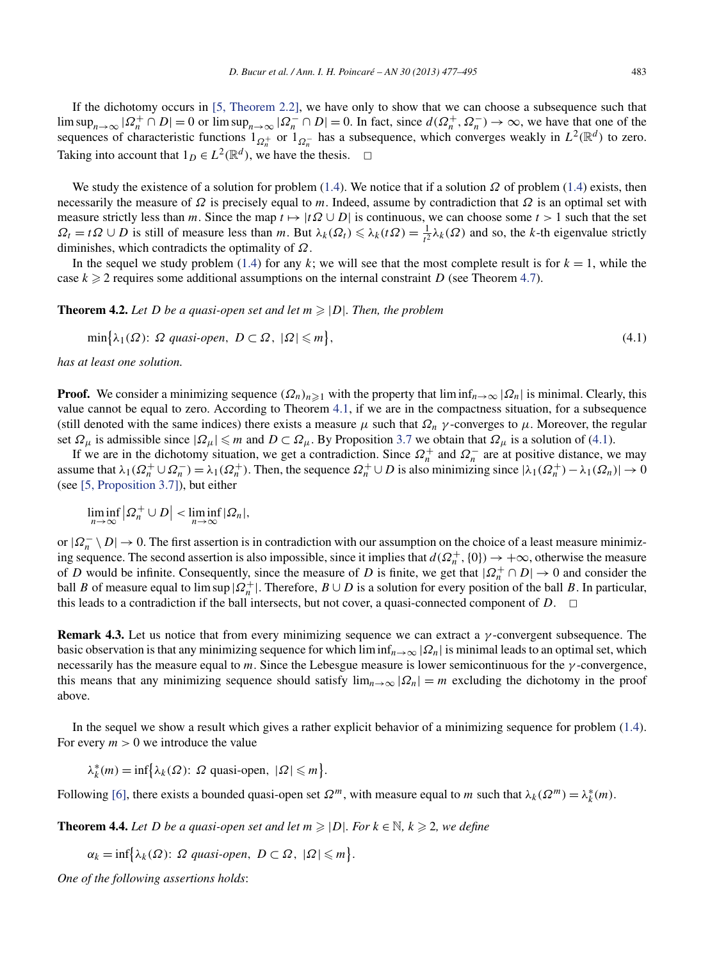<span id="page-6-0"></span>If the dichotomy occurs in [\[5, Theorem 2.2\],](#page-18-0) we have only to show that we can choose a subsequence such that  $\limsup_{n\to\infty} |Q_n^+ \cap D| = 0$  or  $\limsup_{n\to\infty} |Q_n^- \cap D| = 0$ . In fact, since  $d(Q_n^+, Q_n^-) \to \infty$ , we have that one of the sequences of characteristic functions  $1_{\Omega_n^+}$  or  $1_{\Omega_n^-}$  has a subsequence, which converges weakly in  $L^2(\mathbb{R}^d)$  to zero. Taking into account that  $1_D ∈ L^2(\mathbb{R}^d)$ , we have the thesis.  $□$ 

We study the existence of a solution for problem [\(1.4\)](#page-1-0). We notice that if a solution *Ω* of problem [\(1.4\)](#page-1-0) exists, then necessarily the measure of *Ω* is precisely equal to *m*. Indeed, assume by contradiction that *Ω* is an optimal set with measure strictly less than *m*. Since the map  $t \mapsto |t\Omega \cup D|$  is continuous, we can choose some  $t > 1$  such that the set  $\Omega_t = t\Omega \cup D$  is still of measure less than *m*. But  $\lambda_k(\Omega_t) \leq \lambda_k(t\Omega) = \frac{1}{t^2} \lambda_k(\Omega)$  and so, the *k*-th eigenvalue strictly diminishes, which contradicts the optimality of *Ω*.

In the sequel we study problem [\(1.4\)](#page-1-0) for any *k*; we will see that the most complete result is for  $k = 1$ , while the case  $k \geq 2$  requires some additional assumptions on the internal constraint *D* (see Theorem [4.7\)](#page-7-0).

**Theorem 4.2.** Let D be a quasi-open set and let  $m \geq |D|$ . Then, the problem

$$
\min\{\lambda_1(\Omega): \Omega \text{ quasi-open, } D \subset \Omega, |\Omega| \leq m\},\tag{4.1}
$$

*has at least one solution.*

**Proof.** We consider a minimizing sequence  $(\Omega_n)_{n\geq 1}$  with the property that  $\liminf_{n\to\infty} |\Omega_n|$  is minimal. Clearly, this value cannot be equal to zero. According to Theorem [4.1,](#page-5-0) if we are in the compactness situation, for a subsequence (still denoted with the same indices) there exists a measure  $\mu$  such that  $\Omega_n$   $\gamma$ -converges to  $\mu$ . Moreover, the regular set  $\Omega_{\mu}$  is admissible since  $|\Omega_{\mu}| \leq m$  and  $D \subset \Omega_{\mu}$ . By Proposition [3.7](#page-5-0) we obtain that  $\Omega_{\mu}$  is a solution of (4.1).

If we are in the dichotomy situation, we get a contradiction. Since  $\Omega_n^+$  and  $\Omega_n^-$  are at positive distance, we may assume that  $\lambda_1(\Omega_n^+ \cup \Omega_n^-) = \lambda_1(\Omega_n^+)$ . Then, the sequence  $\Omega_n^+ \cup D$  is also minimizing since  $|\lambda_1(\Omega_n^+) - \lambda_1(\Omega_n)| \to 0$ (see [\[5, Proposition 3.7\]\)](#page-18-0), but either

$$
\liminf_{n\to\infty}\left|\Omega_n^+\cup D\right|<\liminf_{n\to\infty}\left|\Omega_n\right|,
$$

or  $|\Omega_n^- \setminus D| \to 0$ . The first assertion is in contradiction with our assumption on the choice of a least measure minimizing sequence. The second assertion is also impossible, since it implies that  $d(\Omega_n^+ , \{0\}) \to +\infty$ , otherwise the measure of *D* would be infinite. Consequently, since the measure of *D* is finite, we get that  $|Q_n^+ \cap D| \to 0$  and consider the ball *B* of measure equal to lim sup  $|Q_n^+|$ . Therefore,  $B \cup D$  is a solution for every position of the ball *B*. In particular, this leads to a contradiction if the ball intersects, but not cover, a quasi-connected component of  $D$ .  $\Box$ 

**Remark 4.3.** Let us notice that from every minimizing sequence we can extract a *γ* -convergent subsequence. The basic observation is that any minimizing sequence for which  $\liminf_{n\to\infty} |Q_n|$  is minimal leads to an optimal set, which necessarily has the measure equal to *m*. Since the Lebesgue measure is lower semicontinuous for the *γ* -convergence, this means that any minimizing sequence should satisfy  $\lim_{n\to\infty} |\Omega_n| = m$  excluding the dichotomy in the proof above.

In the sequel we show a result which gives a rather explicit behavior of a minimizing sequence for problem [\(1.4\)](#page-1-0). For every  $m > 0$  we introduce the value

 $\lambda_k^*(m) = \inf \{ \lambda_k(\Omega) : \Omega \text{ quasi-open, } |\Omega| \le m \}.$ 

Following [\[6\],](#page-18-0) there exists a bounded quasi-open set  $\Omega^m$ , with measure equal to *m* such that  $\lambda_k(\Omega^m) = \lambda_k^*(m)$ .

**Theorem 4.4.** Let D be a quasi-open set and let  $m \geq |D|$ . For  $k \in \mathbb{N}$ ,  $k \geq 2$ , we define

$$
\alpha_k = \inf \{ \lambda_k(\Omega) \colon \Omega \text{ quasi-open, } D \subset \Omega, |\Omega| \leq m \}.
$$

*One of the following assertions holds*: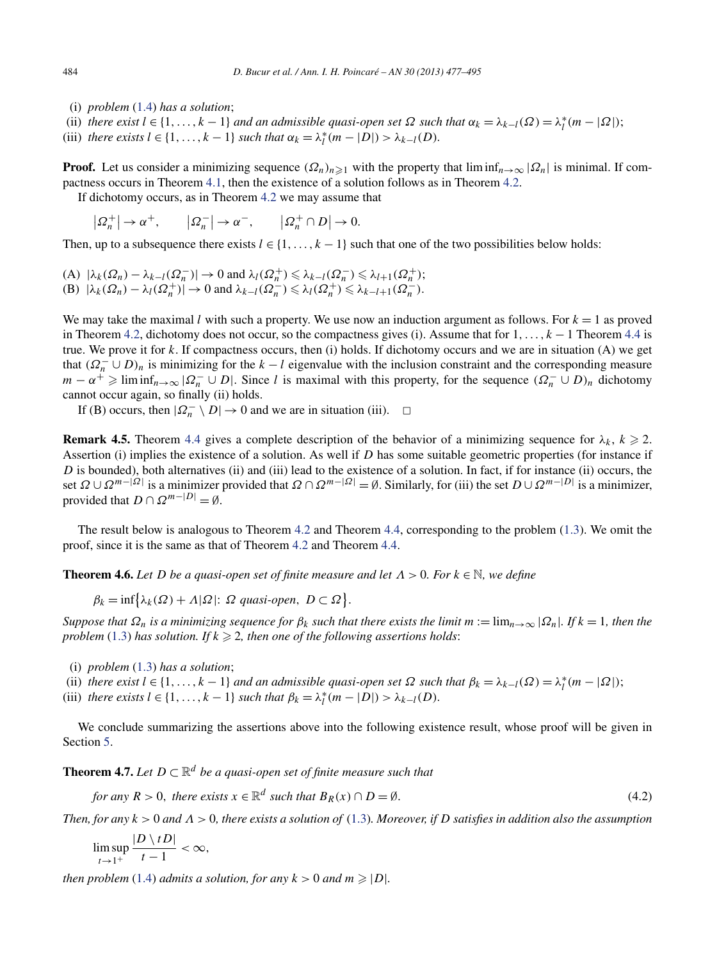- <span id="page-7-0"></span>(i) *problem* [\(1.4\)](#page-1-0) *has a solution*;
- (ii) *there exist*  $l \in \{1, ..., k-1\}$  *and an admissible quasi-open set*  $\Omega$  *such that*  $\alpha_k = \lambda_{k-l}(\Omega) = \lambda_l^*(m |\Omega|)$ ;
- (iii) *there exists*  $l \in \{1, ..., k-1\}$  *such that*  $\alpha_k = \lambda_l^*(m |D|) > \lambda_{k-l}(D)$ *.*

**Proof.** Let us consider a minimizing sequence  $(\Omega_n)_{n\geq 1}$  with the property that  $\liminf_{n\to\infty} |\Omega_n|$  is minimal. If compactness occurs in Theorem [4.1,](#page-5-0) then the existence of a solution follows as in Theorem [4.2.](#page-6-0)

If dichotomy occurs, as in Theorem [4.2](#page-6-0) we may assume that

 $| \Omega_n^+ | \to \alpha^+, \qquad |\Omega_n^- | \to \alpha^-, \qquad |\Omega_n^+ \cap D| \to 0.$ 

Then, up to a subsequence there exists  $l \in \{1, \ldots, k-1\}$  such that one of the two possibilities below holds:

 $(A)$   $|\lambda_k(\Omega_n) - \lambda_{k-l}(\Omega_n^{-})| \to 0$  and  $\lambda_l(\Omega_n^{+}) \leq \lambda_{k-l}(\Omega_n^{-}) \leq \lambda_{l+1}(\Omega_n^{+});$  $(B)$   $|\lambda_k(\Omega_n) - \lambda_l(\Omega_n^+)| \to 0$  and  $\lambda_{k-l}(\Omega_n^-) \leq \lambda_l(\Omega_n^+) \leq \lambda_{k-l+1}(\Omega_n^-).$ 

We may take the maximal *l* with such a property. We use now an induction argument as follows. For  $k = 1$  as proved in Theorem [4.2,](#page-6-0) dichotomy does not occur, so the compactness gives (i). Assume that for 1*,...,k* − 1 Theorem [4.4](#page-6-0) is true. We prove it for *k*. If compactness occurs, then (i) holds. If dichotomy occurs and we are in situation (A) we get that  $(\Omega_n^- \cup D)_n$  is minimizing for the  $k - l$  eigenvalue with the inclusion constraint and the corresponding measure *m* −  $\alpha^{+}$  ≥ lim inf<sub>*n*→∞</sub>  $|\Omega_{n}^{-} \cup D|$ . Since *l* is maximal with this property, for the sequence  $(\Omega_{n}^{-} \cup D)_{n}$  dichotomy cannot occur again, so finally (ii) holds.

If (B) occurs, then  $|Q_n^- \setminus D| \to 0$  and we are in situation (iii).  $\Box$ 

**Remark 4.5.** Theorem [4.4](#page-6-0) gives a complete description of the behavior of a minimizing sequence for  $\lambda_k$ ,  $k \ge 2$ . Assertion (i) implies the existence of a solution. As well if *D* has some suitable geometric properties (for instance if *D* is bounded), both alternatives (ii) and (iii) lead to the existence of a solution. In fact, if for instance (ii) occurs, the set  $\Omega \cup \Omega^{m-|\Omega|}$  is a minimizer provided that  $\Omega \cap \Omega^{m-|\Omega|} = \emptyset$ . Similarly, for (iii) the set  $D \cup \Omega^{m-|D|}$  is a minimizer, provided that  $D \cap \Omega^{m-|D|} = \emptyset$ .

The result below is analogous to Theorem [4.2](#page-6-0) and Theorem [4.4,](#page-6-0) corresponding to the problem [\(1.3\)](#page-1-0). We omit the proof, since it is the same as that of Theorem [4.2](#page-6-0) and Theorem [4.4.](#page-6-0)

**Theorem 4.6.** Let D be a quasi-open set of finite measure and let  $\Lambda > 0$ . For  $k \in \mathbb{N}$ , we define

 $\beta_k = \inf \{ \lambda_k(\Omega) + \Lambda | \Omega | : \Omega \text{ quasi-open, } D \subset \Omega \}.$ 

*Suppose that*  $Ω<sub>n</sub>$  *is a minimizing sequence for*  $β<sub>k</sub>$  *such that there exists the limit*  $m := \lim_{n \to \infty} |Ω<sub>n</sub>|$ *. If*  $k = 1$ *, then the problem* [\(1.3\)](#page-1-0) *has solution. If*  $k \ge 2$ *, then one of the following assertions holds:* 

- (i) *problem* [\(1.3\)](#page-1-0) *has a solution*;
- (ii) *there exist*  $l \in \{1, ..., k-1\}$  *and an admissible quasi-open set*  $\Omega$  *such that*  $\beta_k = \lambda_{k-l}(\Omega) = \lambda_l^*(m |\Omega|)$ ;
- (iii) *there exists*  $l \in \{1, ..., k-1\}$  *such that*  $\beta_k = \lambda_l^* (m |D|) > \lambda_{k-l}(D)$ *.*

We conclude summarizing the assertions above into the following existence result, whose proof will be given in Section [5.](#page-8-0)

**Theorem 4.7.** *Let*  $D \subset \mathbb{R}^d$  *be a quasi-open set of finite measure such that* 

for any 
$$
R > 0
$$
, there exists  $x \in \mathbb{R}^d$  such that  $B_R(x) \cap D = \emptyset$ . 
$$
(4.2)
$$

*Then, for any k >* 0 *and Λ >* 0*, there exists a solution of* [\(1.3\)](#page-1-0)*. Moreover, if D satisfies in addition also the assumption*

$$
\limsup_{t\to 1^+}\frac{|D\setminus tD|}{t-1}<\infty,
$$

*then problem* [\(1.4\)](#page-1-0) *admits a solution, for any*  $k > 0$  *and*  $m \ge |D|$ *.*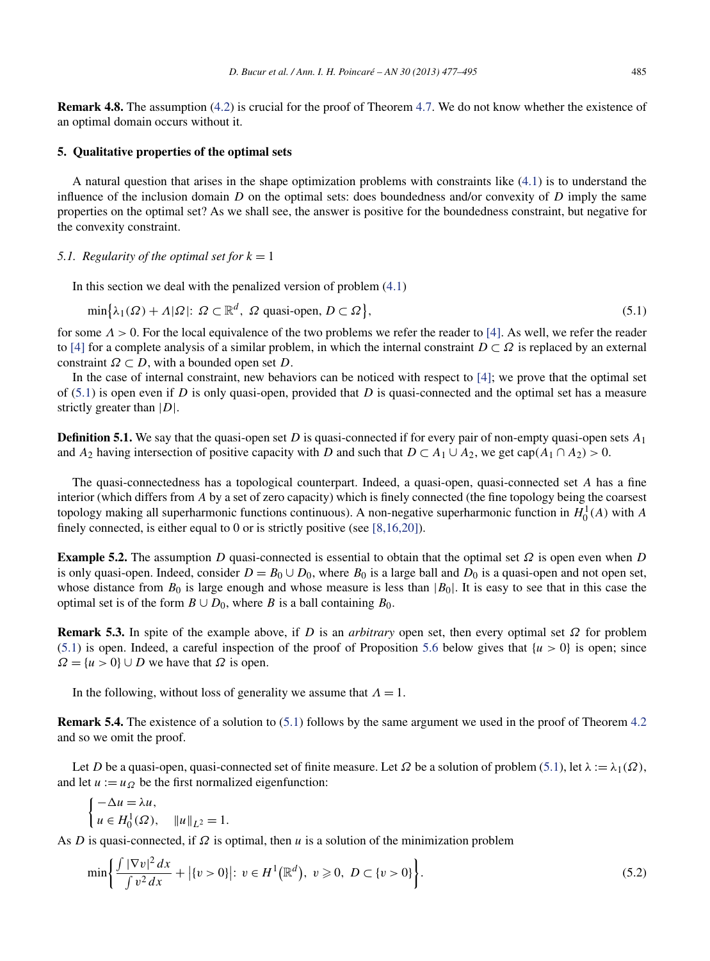<span id="page-8-0"></span>**Remark 4.8.** The assumption [\(4.2\)](#page-7-0) is crucial for the proof of Theorem [4.7.](#page-7-0) We do not know whether the existence of an optimal domain occurs without it.

## **5. Qualitative properties of the optimal sets**

A natural question that arises in the shape optimization problems with constraints like [\(4.1\)](#page-6-0) is to understand the influence of the inclusion domain *D* on the optimal sets: does boundedness and/or convexity of *D* imply the same properties on the optimal set? As we shall see, the answer is positive for the boundedness constraint, but negative for the convexity constraint.

### *5.1. Regularity of the optimal set for*  $k = 1$

In this section we deal with the penalized version of problem  $(4.1)$ 

$$
\min\{\lambda_1(\Omega) + \Lambda|\Omega|: \Omega \subset \mathbb{R}^d, \Omega \text{ quasi-open, } D \subset \Omega\},\tag{5.1}
$$

for some *Λ >* 0. For the local equivalence of the two problems we refer the reader to [\[4\].](#page-18-0) As well, we refer the reader to [\[4\]](#page-18-0) for a complete analysis of a similar problem, in which the internal constraint  $D \subset \Omega$  is replaced by an external constraint  $\Omega \subset D$ , with a bounded open set *D*.

In the case of internal constraint, new behaviors can be noticed with respect to [\[4\];](#page-18-0) we prove that the optimal set of (5.1) is open even if *D* is only quasi-open, provided that *D* is quasi-connected and the optimal set has a measure strictly greater than |*D*|.

**Definition 5.1.** We say that the quasi-open set *D* is quasi-connected if for every pair of non-empty quasi-open sets *A*<sup>1</sup> and *A*<sub>2</sub> having intersection of positive capacity with *D* and such that  $D \subset A_1 \cup A_2$ , we get cap $(A_1 \cap A_2) > 0$ .

The quasi-connectedness has a topological counterpart. Indeed, a quasi-open, quasi-connected set *A* has a fine interior (which differs from *A* by a set of zero capacity) which is finely connected (the fine topology being the coarsest topology making all superharmonic functions continuous). A non-negative superharmonic function in  $H_0^1(A)$  with  $A$ finely connected, is either equal to 0 or is strictly positive (see [\[8,16,20\]\)](#page-18-0).

**Example 5.2.** The assumption *D* quasi-connected is essential to obtain that the optimal set *Ω* is open even when *D* is only quasi-open. Indeed, consider  $D = B_0 \cup D_0$ , where  $B_0$  is a large ball and  $D_0$  is a quasi-open and not open set, whose distance from  $B_0$  is large enough and whose measure is less than  $|B_0|$ . It is easy to see that in this case the optimal set is of the form  $B \cup D_0$ , where *B* is a ball containing  $B_0$ .

**Remark 5.3.** In spite of the example above, if *D* is an *arbitrary* open set, then every optimal set *Ω* for problem (5.1) is open. Indeed, a careful inspection of the proof of Proposition [5.6](#page-9-0) below gives that  $\{u > 0\}$  is open; since  $\Omega = \{u > 0\} \cup D$  we have that  $\Omega$  is open.

In the following, without loss of generality we assume that  $\Lambda = 1$ .

**Remark 5.4.** The existence of a solution to (5.1) follows by the same argument we used in the proof of Theorem [4.2](#page-6-0) and so we omit the proof.

Let *D* be a quasi-open, quasi-connected set of finite measure. Let  $\Omega$  be a solution of problem (5.1), let  $\lambda := \lambda_1(\Omega)$ , and let  $u := u_{\Omega}$  be the first normalized eigenfunction:

$$
\begin{cases}\n-\Delta u = \lambda u, \\
u \in H_0^1(\Omega), \quad ||u||_{L^2} = 1.\n\end{cases}
$$

As *D* is quasi-connected, if *Ω* is optimal, then *u* is a solution of the minimization problem

$$
\min\bigg\{\frac{\int |\nabla v|^2 \, dx}{\int v^2 \, dx} + \big|\{v > 0\}\big|; \ v \in H^1\big(\mathbb{R}^d\big), \ v \geqslant 0, \ D \subset \{v > 0\}\bigg\}.\tag{5.2}
$$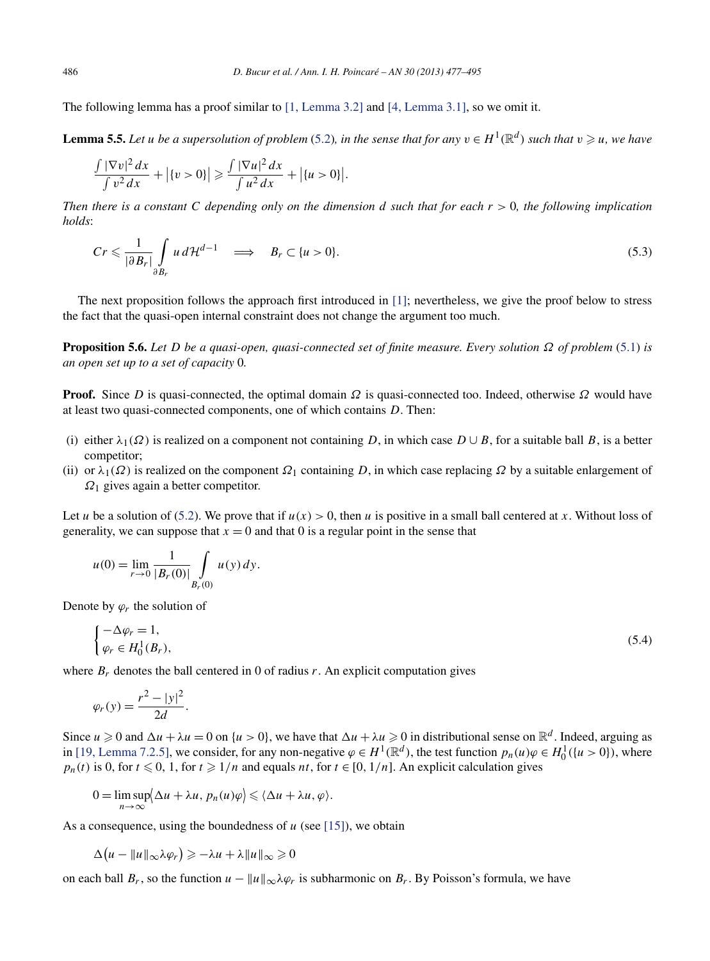<span id="page-9-0"></span>The following lemma has a proof similar to [\[1, Lemma 3.2\]](#page-17-0) and [\[4, Lemma 3.1\],](#page-18-0) so we omit it.

**Lemma 5.5.** Let *u* be a supersolution of problem [\(5.2\)](#page-8-0), in the sense that for any  $v \in H^1(\mathbb{R}^d)$  such that  $v \ge u$ , we have

$$
\frac{\int |\nabla v|^2 dx}{\int v^2 dx} + |\{v > 0\}| \geqslant \frac{\int |\nabla u|^2 dx}{\int u^2 dx} + |\{u > 0\}|.
$$

*Then there is a constant C depending only on the dimension d such that for each r >* 0*, the following implication holds*:

$$
Cr \leqslant \frac{1}{|\partial B_r|} \int\limits_{\partial B_r} u \, d\mathcal{H}^{d-1} \quad \Longrightarrow \quad B_r \subset \{u > 0\}.
$$
\n(5.3)

The next proposition follows the approach first introduced in [\[1\];](#page-17-0) nevertheless, we give the proof below to stress the fact that the quasi-open internal constraint does not change the argument too much.

**Proposition 5.6.** *Let D be a quasi-open, quasi-connected set of finite measure. Every solution Ω of problem* [\(5.1\)](#page-8-0) *is an open set up to a set of capacity* 0*.*

**Proof.** Since *D* is quasi-connected, the optimal domain *Ω* is quasi-connected too. Indeed, otherwise *Ω* would have at least two quasi-connected components, one of which contains *D*. Then:

- (i) either  $\lambda_1(\Omega)$  is realized on a component not containing *D*, in which case  $D \cup B$ , for a suitable ball *B*, is a better competitor;
- (ii) or  $\lambda_1(\Omega)$  is realized on the component  $\Omega_1$  containing *D*, in which case replacing  $\Omega$  by a suitable enlargement of *Ω*<sup>1</sup> gives again a better competitor.

Let *u* be a solution of [\(5.2\)](#page-8-0). We prove that if  $u(x) > 0$ , then *u* is positive in a small ball centered at *x*. Without loss of generality, we can suppose that  $x = 0$  and that 0 is a regular point in the sense that

$$
u(0) = \lim_{r \to 0} \frac{1}{|B_r(0)|} \int\limits_{B_r(0)} u(y) \, dy.
$$

Denote by  $\varphi_r$  the solution of

$$
\begin{cases}\n-\Delta \varphi_r = 1, \\
\varphi_r \in H_0^1(B_r),\n\end{cases} \tag{5.4}
$$

where  $B_r$  denotes the ball centered in 0 of radius r. An explicit computation gives

$$
\varphi_r(y) = \frac{r^2 - |y|^2}{2d}.
$$

Since  $u \ge 0$  and  $\Delta u + \lambda u = 0$  on  $\{u > 0\}$ , we have that  $\Delta u + \lambda u \ge 0$  in distributional sense on  $\mathbb{R}^d$ . Indeed, arguing as in [\[19, Lemma 7.2.5\],](#page-18-0) we consider, for any non-negative  $\varphi \in H^1(\mathbb{R}^d)$ , the test function  $p_n(u)\varphi \in H_0^1({u > 0})$ , where  $p_n(t)$  is 0, for  $t \le 0$ , 1, for  $t \ge 1/n$  and equals  $nt$ , for  $t \in [0, 1/n]$ . An explicit calculation gives

$$
0 = \limsup_{n \to \infty} \langle \Delta u + \lambda u, p_n(u)\varphi \rangle \leq \langle \Delta u + \lambda u, \varphi \rangle.
$$

As a consequence, using the boundedness of  $u$  (see [\[15\]\)](#page-18-0), we obtain

$$
\Delta(u - \|u\|_{\infty}\lambda\varphi_r) \geq -\lambda u + \lambda \|u\|_{\infty} \geq 0
$$

on each ball  $B_r$ , so the function  $u - ||u||_{\infty} \lambda \varphi_r$  is subharmonic on  $B_r$ . By Poisson's formula, we have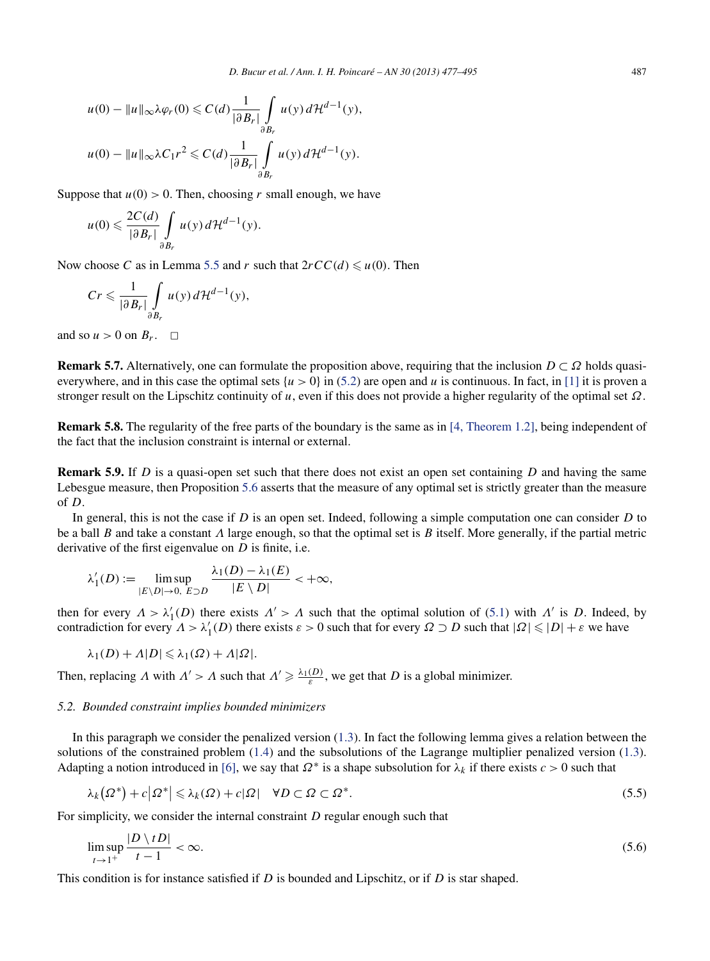<span id="page-10-0"></span>
$$
u(0) - ||u||_{\infty} \lambda \varphi_r(0) \le C(d) \frac{1}{|\partial B_r|} \int_{\partial B_r} u(y) d\mathcal{H}^{d-1}(y),
$$
  

$$
u(0) - ||u||_{\infty} \lambda C_1 r^2 \le C(d) \frac{1}{|\partial B_r|} \int_{\partial B_r} u(y) d\mathcal{H}^{d-1}(y).
$$

Suppose that  $u(0) > 0$ . Then, choosing r small enough, we have

$$
u(0) \leqslant \frac{2C(d)}{|\partial B_r|} \int\limits_{\partial B_r} u(y) d\mathcal{H}^{d-1}(y).
$$

Now choose *C* as in Lemma [5.5](#page-9-0) and *r* such that  $2rCC(d) \leq u(0)$ . Then

$$
Cr \leqslant \frac{1}{|\partial B_r|} \int\limits_{\partial B_r} u(y) d\mathcal{H}^{d-1}(y),
$$

and so  $u > 0$  on  $B_r$ .  $\Box$ 

**Remark 5.7.** Alternatively, one can formulate the proposition above, requiring that the inclusion *D* ⊂ *Ω* holds quasieverywhere, and in this case the optimal sets  $\{u > 0\}$  in [\(5.2\)](#page-8-0) are open and *u* is continuous. In fact, in [\[1\]](#page-17-0) it is proven a stronger result on the Lipschitz continuity of *u*, even if this does not provide a higher regularity of the optimal set *Ω*.

**Remark 5.8.** The regularity of the free parts of the boundary is the same as in [\[4, Theorem 1.2\],](#page-18-0) being independent of the fact that the inclusion constraint is internal or external.

**Remark 5.9.** If *D* is a quasi-open set such that there does not exist an open set containing *D* and having the same Lebesgue measure, then Proposition [5.6](#page-9-0) asserts that the measure of any optimal set is strictly greater than the measure of *D*.

In general, this is not the case if *D* is an open set. Indeed, following a simple computation one can consider *D* to be a ball *B* and take a constant *Λ* large enough, so that the optimal set is *B* itself. More generally, if the partial metric derivative of the first eigenvalue on *D* is finite, i.e.

$$
\lambda'_1(D) := \limsup_{|E \setminus D| \to 0, \ E \supset D} \frac{\lambda_1(D) - \lambda_1(E)}{|E \setminus D|} < +\infty,
$$

then for every  $\Lambda > \lambda'_1(D)$  there exists  $\Lambda' > \Lambda$  such that the optimal solution of [\(5.1\)](#page-8-0) with  $\Lambda'$  is *D*. Indeed, by contradiction for every  $\Lambda > \lambda'_1(D)$  there exists  $\varepsilon > 0$  such that for every  $\Omega \supset D$  such that  $|\Omega| \leq |D| + \varepsilon$  we have

$$
\lambda_1(D)+\Lambda|D|\leqslant \lambda_1(\Omega)+\Lambda|\Omega|.
$$

Then, replacing *Λ* with  $\Lambda' > \Lambda$  such that  $\Lambda' \geq \frac{\lambda_1(D)}{\varepsilon}$ , we get that *D* is a global minimizer.

# *5.2. Bounded constraint implies bounded minimizers*

In this paragraph we consider the penalized version [\(1.3\)](#page-1-0). In fact the following lemma gives a relation between the solutions of the constrained problem [\(1.4\)](#page-1-0) and the subsolutions of the Lagrange multiplier penalized version [\(1.3\)](#page-1-0). Adapting a notion introduced in [\[6\],](#page-18-0) we say that  $\Omega^*$  is a shape subsolution for  $\lambda_k$  if there exists  $c > 0$  such that

$$
\lambda_k(\Omega^*) + c|\Omega^*| \le \lambda_k(\Omega) + c|\Omega| \quad \forall D \subset \Omega \subset \Omega^*.
$$
\n
$$
(5.5)
$$

For simplicity, we consider the internal constraint *D* regular enough such that

$$
\limsup_{t \to 1^+} \frac{|D \setminus tD|}{t - 1} < \infty. \tag{5.6}
$$

This condition is for instance satisfied if *D* is bounded and Lipschitz, or if *D* is star shaped.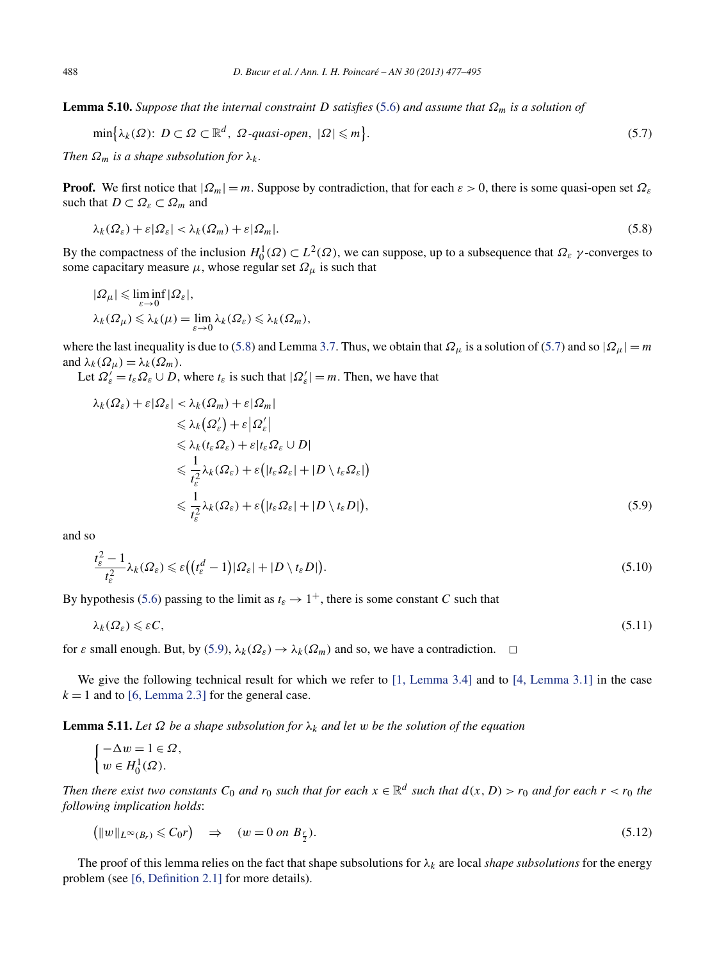**Lemma 5.10.** *Suppose that the internal constraint D satisfies* [\(5.6\)](#page-10-0) *and assume that*  $\Omega_m$  *is a solution of* 

$$
\min\{\lambda_k(\Omega): D \subset \Omega \subset \mathbb{R}^d, \ \Omega\text{-quasi-open, } |\Omega| \leqslant m\}.\tag{5.7}
$$

*Then*  $\Omega_m$  *is a shape subsolution for*  $\lambda_k$ *.* 

**Proof.** We first notice that  $|Q_m| = m$ . Suppose by contradiction, that for each  $\varepsilon > 0$ , there is some quasi-open set  $\Omega_{\varepsilon}$ such that  $D \subset \Omega_{\varepsilon} \subset \Omega_m$  and

$$
\lambda_k(\Omega_{\varepsilon}) + \varepsilon |\Omega_{\varepsilon}| < \lambda_k(\Omega_m) + \varepsilon |\Omega_m|.\tag{5.8}
$$

By the compactness of the inclusion  $H_0^1(\Omega) \subset L^2(\Omega)$ , we can suppose, up to a subsequence that  $\Omega_\varepsilon$  *γ*-converges to some capacitary measure  $\mu$ , whose regular set  $\Omega_{\mu}$  is such that

$$
|\Omega_{\mu}| \leq \liminf_{\varepsilon \to 0} |\Omega_{\varepsilon}|,
$$
  

$$
\lambda_k(\Omega_{\mu}) \leq \lambda_k(\mu) = \lim_{\varepsilon \to 0} \lambda_k(\Omega_{\varepsilon}) \leq \lambda_k(\Omega_m),
$$

where the last inequality is due to (5.8) and Lemma [3.7.](#page-5-0) Thus, we obtain that  $\Omega_{\mu}$  is a solution of (5.7) and so  $|\Omega_{\mu}| = m$ and  $\lambda_k(\Omega_\mu) = \lambda_k(\Omega_m)$ .

Let  $\Omega_{\varepsilon}^{\prime} = t_{\varepsilon} \Omega_{\varepsilon} \cup D$ , where  $t_{\varepsilon}$  is such that  $|\Omega_{\varepsilon}^{\prime}| = m$ . Then, we have that

$$
\lambda_k(\Omega_{\varepsilon}) + \varepsilon |\Omega_{\varepsilon}| < \lambda_k(\Omega_m) + \varepsilon |\Omega_m|
$$
  
\n
$$
\leq \lambda_k(\Omega_{\varepsilon}') + \varepsilon |\Omega_{\varepsilon}'|
$$
  
\n
$$
\leq \lambda_k(t_{\varepsilon}\Omega_{\varepsilon}) + \varepsilon |t_{\varepsilon}\Omega_{\varepsilon} \cup D|
$$
  
\n
$$
\leq \frac{1}{t_{\varepsilon}^2} \lambda_k(\Omega_{\varepsilon}) + \varepsilon (|t_{\varepsilon}\Omega_{\varepsilon}| + |D \setminus t_{\varepsilon}\Omega_{\varepsilon}|)
$$
  
\n
$$
\leq \frac{1}{t_{\varepsilon}^2} \lambda_k(\Omega_{\varepsilon}) + \varepsilon (|t_{\varepsilon}\Omega_{\varepsilon}| + |D \setminus t_{\varepsilon}D|),
$$
\n(5.9)

and so

$$
\frac{t_{\varepsilon}^2 - 1}{t_{\varepsilon}^2} \lambda_k(\Omega_{\varepsilon}) \leqslant \varepsilon \big( \big( t_{\varepsilon}^d - 1 \big) |\Omega_{\varepsilon}| + |D \setminus t_{\varepsilon} D| \big).
$$
\n
$$
(5.10)
$$

By hypothesis [\(5.6\)](#page-10-0) passing to the limit as  $t_{\varepsilon} \to 1^+$ , there is some constant *C* such that

$$
\lambda_k(\Omega_{\varepsilon}) \leqslant \varepsilon C,\tag{5.11}
$$

for *ε* small enough. But, by (5.9),  $\lambda_k(\Omega_{\epsilon}) \to \lambda_k(\Omega_m)$  and so, we have a contradiction.  $\Box$ 

We give the following technical result for which we refer to [\[1, Lemma 3.4\]](#page-17-0) and to [\[4, Lemma 3.1\]](#page-18-0) in the case  $k = 1$  and to [\[6, Lemma 2.3\]](#page-18-0) for the general case.

**Lemma 5.11.** *Let*  $\Omega$  *be a shape subsolution for*  $\lambda_k$  *and let w be the solution of the equation* 

$$
\begin{cases}-\Delta w=1\in\varOmega,\\ w\in H^1_0(\varOmega). \end{cases}
$$

*Then there exist two constants*  $C_0$  *and*  $r_0$  *such that for each*  $x \in \mathbb{R}^d$  *such that*  $d(x, D) > r_0$  *and* for each  $r < r_0$  *the following implication holds*:

$$
\left(\|w\|_{L^{\infty}(B_r)} \leqslant C_0 r\right) \quad \Rightarrow \quad (w = 0 \text{ on } B_{\frac{r}{2}}). \tag{5.12}
$$

The proof of this lemma relies on the fact that shape subsolutions for  $\lambda_k$  are local *shape subsolutions* for the energy problem (see [\[6, Definition 2.1\]](#page-18-0) for more details).

<span id="page-11-0"></span>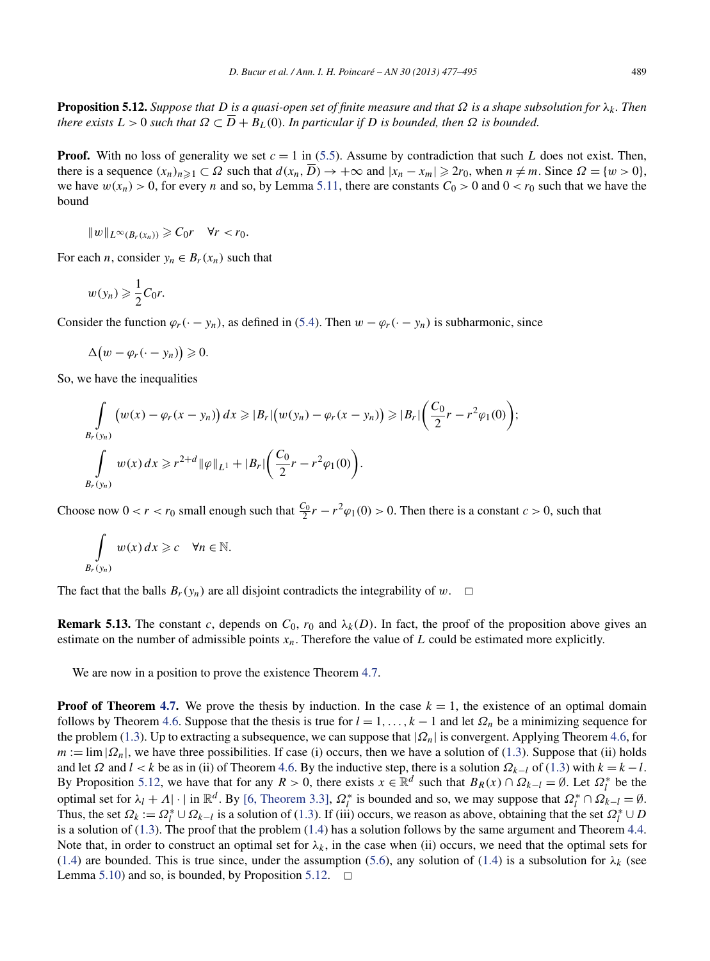<span id="page-12-0"></span>**Proposition 5.12.** *Suppose that D is a quasi-open set of finite measure and that Ω is a shape subsolution for λk . Then there exists*  $L > 0$  *such that*  $\Omega \subset \overline{D} + B_L(0)$ *. In particular if D is bounded, then*  $\Omega$  *is bounded.* 

**Proof.** With no loss of generality we set  $c = 1$  in [\(5.5\)](#page-10-0). Assume by contradiction that such *L* does not exist. Then, there is a sequence  $(x_n)_{n \geq 1} \subset \Omega$  such that  $d(x_n, \overline{D}) \to +\infty$  and  $|x_n - x_m| \geq 2r_0$ , when  $n \neq m$ . Since  $\Omega = \{w > 0\}$ , we have  $w(x_n) > 0$ , for every *n* and so, by Lemma [5.11,](#page-11-0) there are constants  $C_0 > 0$  and  $0 < r_0$  such that we have the bound

 $||w||_{L^{\infty}(B_r(x_n))} \geqslant C_0r \quad \forall r < r_0.$ 

For each *n*, consider  $y_n \in B_r(x_n)$  such that

$$
w(y_n) \geqslant \frac{1}{2}C_0r.
$$

Consider the function  $\varphi_r(\cdot - y_n)$ , as defined in [\(5.4\)](#page-9-0). Then  $w - \varphi_r(\cdot - y_n)$  is subharmonic, since

$$
\Delta\big(w-\varphi_r(\cdot-y_n)\big)\geqslant 0.
$$

So, we have the inequalities

$$
\int_{B_r(y_n)} (w(x) - \varphi_r(x - y_n)) dx \ge |B_r| (w(y_n) - \varphi_r(x - y_n)) \ge |B_r| \left( \frac{C_0}{2} r - r^2 \varphi_1(0) \right);
$$
  

$$
\int_{B_r(y_n)} w(x) dx \ge r^{2+d} ||\varphi||_{L^1} + |B_r| \left( \frac{C_0}{2} r - r^2 \varphi_1(0) \right).
$$

Choose now  $0 < r < r_0$  small enough such that  $\frac{C_0}{2}r - r^2\varphi_1(0) > 0$ . Then there is a constant  $c > 0$ , such that

$$
\int\limits_{B_r(y_n)} w(x) dx \geqslant c \quad \forall n \in \mathbb{N}.
$$

The fact that the balls  $B_r(y_n)$  are all disjoint contradicts the integrability of *w*.  $\Box$ 

**Remark 5.13.** The constant *c*, depends on  $C_0$ ,  $r_0$  and  $\lambda_k(D)$ . In fact, the proof of the proposition above gives an estimate on the number of admissible points *xn*. Therefore the value of *L* could be estimated more explicitly.

We are now in a position to prove the existence Theorem [4.7.](#page-7-0)

**Proof of Theorem [4.7.](#page-7-0)** We prove the thesis by induction. In the case  $k = 1$ , the existence of an optimal domain follows by Theorem [4.6.](#page-7-0) Suppose that the thesis is true for  $l = 1, \ldots, k - 1$  and let  $\Omega_n$  be a minimizing sequence for the problem [\(1.3\)](#page-1-0). Up to extracting a subsequence, we can suppose that |*Ωn*| is convergent. Applying Theorem [4.6,](#page-7-0) for  $m := \lim |\Omega_n|$ , we have three possibilities. If case (i) occurs, then we have a solution of [\(1.3\)](#page-1-0). Suppose that (ii) holds and let  $\Omega$  and  $l < k$  be as in (ii) of Theorem [4.6.](#page-7-0) By the inductive step, there is a solution  $\Omega_{k-l}$  of [\(1.3\)](#page-1-0) with  $k = k - l$ . By Proposition 5.12, we have that for any  $R > 0$ , there exists  $x \in \mathbb{R}^d$  such that  $B_R(x) \cap \Omega_{k-l} = \emptyset$ . Let  $\Omega_l^*$  be the optimal set for  $\lambda_l + \Lambda$ | · | in  $\mathbb{R}^d$ . By [\[6, Theorem 3.3\],](#page-18-0)  $\Omega_l^*$  is bounded and so, we may suppose that  $\Omega_l^* \cap \Omega_{k-l} = \emptyset$ . Thus, the set  $\Omega_k := \Omega_l^* \cup \Omega_{k-l}$  is a solution of [\(1.3\)](#page-1-0). If (iii) occurs, we reason as above, obtaining that the set  $\Omega_l^* \cup D$ is a solution of  $(1.3)$ . The proof that the problem  $(1.4)$  has a solution follows by the same argument and Theorem [4.4.](#page-6-0) Note that, in order to construct an optimal set for  $\lambda_k$ , in the case when (ii) occurs, we need that the optimal sets for [\(1.4\)](#page-1-0) are bounded. This is true since, under the assumption [\(5.6\)](#page-10-0), any solution of (1.4) is a subsolution for  $\lambda_k$  (see Lemma [5.10\)](#page-11-0) and so, is bounded, by Proposition 5.12.  $\Box$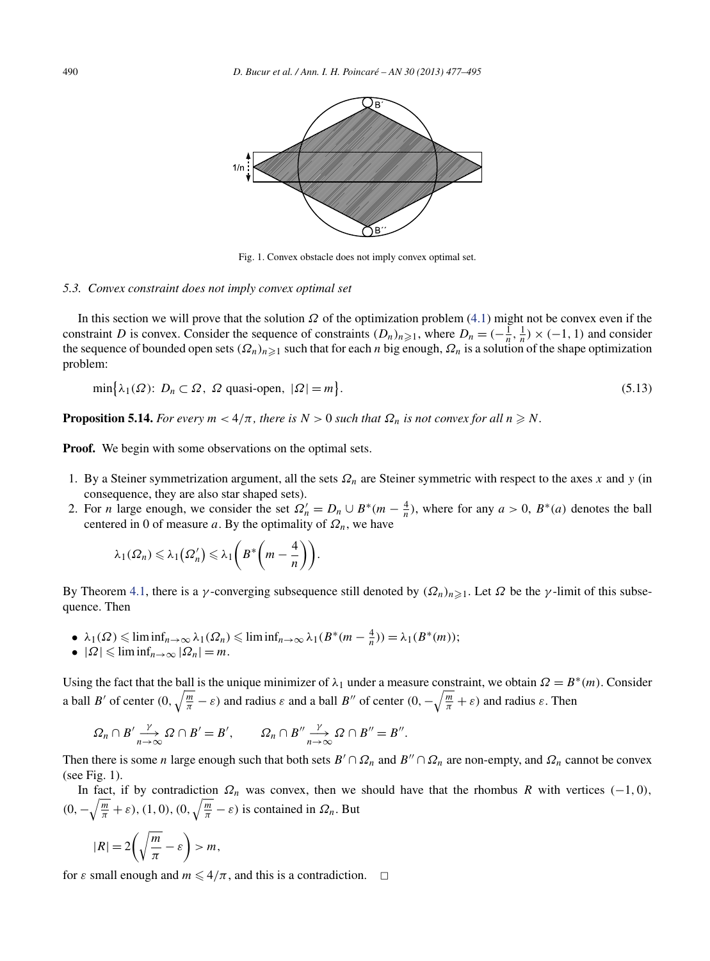

Fig. 1. Convex obstacle does not imply convex optimal set.

#### *5.3. Convex constraint does not imply convex optimal set*

In this section we will prove that the solution *Ω* of the optimization problem [\(4.1\)](#page-6-0) might not be convex even if the constraint *D* is convex. Consider the sequence of constraints  $(D_n)_{n\geq 1}$ , where  $D_n = (-\frac{1}{n}, \frac{1}{n}) \times (-1, 1)$  and consider the sequence of bounded open sets  $(\Omega_n)_{n\geq 1}$  such that for each *n* big enough,  $\Omega_n$  is a solution of the shape optimization problem:

$$
\min\{\lambda_1(\Omega): D_n \subset \Omega, \ \Omega \text{ quasi-open, } |\Omega| = m\}.
$$
\n(5.13)

**Proposition 5.14.** *For every*  $m < 4/\pi$ , *there is*  $N > 0$  *such that*  $\Omega_n$  *is not convex for all*  $n \geq N$ .

**Proof.** We begin with some observations on the optimal sets.

- 1. By a Steiner symmetrization argument, all the sets *Ωn* are Steiner symmetric with respect to the axes *x* and *y* (in consequence, they are also star shaped sets).
- 2. For *n* large enough, we consider the set  $\Omega'_n = D_n \cup B^*(m \frac{4}{n})$ , where for any  $a > 0$ ,  $B^*(a)$  denotes the ball centered in 0 of measure *a*. By the optimality of  $\Omega_n$ , we have

$$
\lambda_1(\Omega_n) \leqslant \lambda_1(\Omega'_n) \leqslant \lambda_1\bigg(B^*\bigg(m-\frac{4}{n}\bigg)\bigg).
$$

By Theorem [4.1,](#page-5-0) there is a *γ*-converging subsequence still denoted by  $(\Omega_n)_{n\geq 1}$ . Let  $\Omega$  be the *γ*-limit of this subsequence. Then

- $\blacklozenge$   $\lambda_1(\Omega) \leq \liminf_{n \to \infty} \lambda_1(\Omega_n) \leq \liminf_{n \to \infty} \lambda_1(B^*(m \frac{4}{n})) = \lambda_1(B^*(m));$
- $|\Omega| \leq \liminf_{n \to \infty} |\Omega_n| = m$ .

Using the fact that the ball is the unique minimizer of  $\lambda_1$  under a measure constraint, we obtain  $\Omega = B^*(m)$ . Consider a ball *B'* of center  $(0, \sqrt{\frac{m}{\pi}} - \varepsilon)$  and radius  $\varepsilon$  and a ball *B''* of center  $(0, -\sqrt{\frac{m}{\pi}} + \varepsilon)$  and radius  $\varepsilon$ . Then

$$
\Omega_n \cap B' \xrightarrow[n \to \infty]{\gamma} \Omega \cap B' = B', \qquad \Omega_n \cap B'' \xrightarrow[n \to \infty]{\gamma} \Omega \cap B'' = B''.
$$

Then there is some *n* large enough such that both sets  $B' \cap \Omega_n$  and  $B'' \cap \Omega_n$  are non-empty, and  $\Omega_n$  cannot be convex (see Fig. 1).

In fact, if by contradiction  $\Omega_n$  was convex, then we should have that the rhombus *R* with vertices  $(-1, 0)$ ,  $(0, -\sqrt{\frac{m}{\pi}} + \varepsilon)$ ,  $(1, 0)$ ,  $(0, \sqrt{\frac{m}{\pi}} - \varepsilon)$  is contained in  $\Omega_n$ . But

$$
|R| = 2\left(\sqrt{\frac{m}{\pi}} - \varepsilon\right) > m,
$$

for  $\varepsilon$  small enough and  $m \leq 4/\pi$ , and this is a contradiction.  $\Box$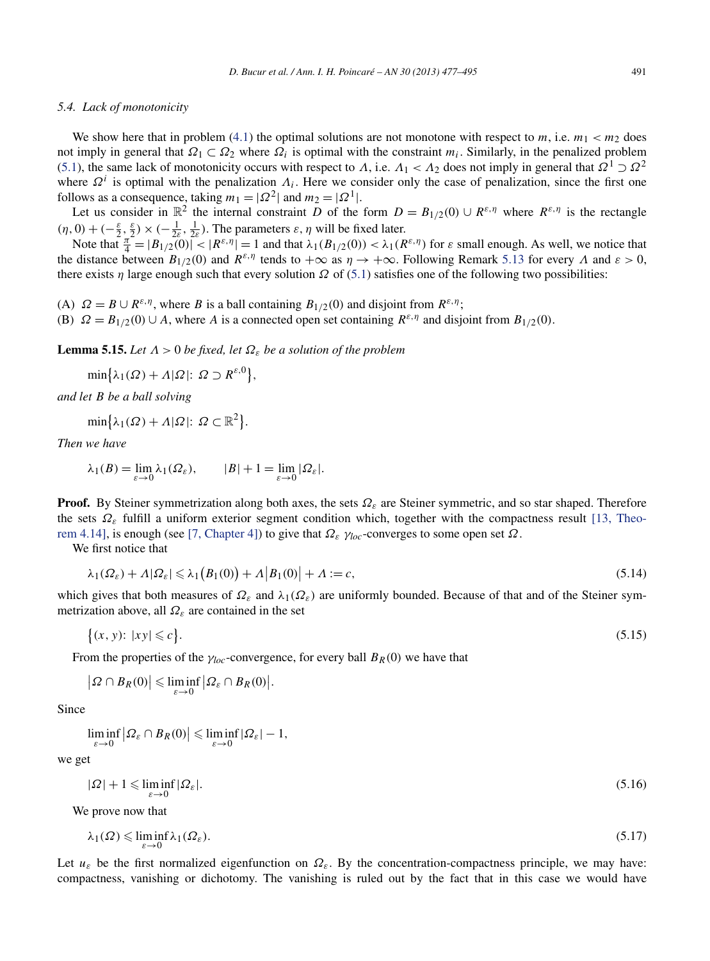#### <span id="page-14-0"></span>*5.4. Lack of monotonicity*

We show here that in problem [\(4.1\)](#page-6-0) the optimal solutions are not monotone with respect to  $m$ , i.e.  $m_1 < m_2$  does not imply in general that  $\Omega_1 \subset \Omega_2$  where  $\Omega_i$  is optimal with the constraint  $m_i$ . Similarly, in the penalized problem [\(5.1\)](#page-8-0), the same lack of monotonicity occurs with respect to *Λ*, i.e.  $\Lambda_1 < \Lambda_2$  does not imply in general that  $\Omega^1 \supset \Omega^2$ where  $\Omega^i$  is optimal with the penalization  $\Lambda_i$ . Here we consider only the case of penalization, since the first one follows as a consequence, taking  $m_1 = |\Omega|^2$  and  $m_2 = |\Omega|^1$ .

Let us consider in  $\mathbb{R}^2$  the internal constraint *D* of the form  $D = B_{1/2}(0) \cup R^{\varepsilon,\eta}$  where  $R^{\varepsilon,\eta}$  is the rectangle  $(\eta, 0) + (-\frac{\varepsilon}{2}, \frac{\varepsilon}{2}) \times (-\frac{1}{2\varepsilon}, \frac{1}{2\varepsilon})$ . The parameters  $\varepsilon, \eta$  will be fixed later.

Note that  $\frac{\pi}{4} = |B_{1/2}(0)| \times |R^{\varepsilon,\eta}| = 1$  and that  $\lambda_1(B_{1/2}(0)) < \lambda_1(R^{\varepsilon,\eta})$  for  $\varepsilon$  small enough. As well, we notice that the distance between  $B_{1/2}(0)$  and  $R^{\varepsilon,\eta}$  tends to  $+\infty$  as  $\eta \to +\infty$ . Following Remark [5.13](#page-12-0) for every  $\Lambda$  and  $\varepsilon > 0$ , there exists *η* large enough such that every solution  $\Omega$  of [\(5.1\)](#page-8-0) satisfies one of the following two possibilities:

(A)  $\Omega = B \cup R^{\varepsilon,\eta}$ , where *B* is a ball containing  $B_{1/2}(0)$  and disjoint from  $R^{\varepsilon,\eta}$ ;

(B)  $\Omega = B_{1/2}(0) \cup A$ , where *A* is a connected open set containing  $R^{\varepsilon,\eta}$  and disjoint from  $B_{1/2}(0)$ .

**Lemma 5.15.** *Let Λ >* 0 *be fixed, let Ωε be a solution of the problem*

 $\min\{\lambda_1(\Omega) + \Lambda|\Omega|: \Omega \supset R^{\varepsilon,0}\},\$ 

*and let B be a ball solving*

$$
\min\{\lambda_1(\Omega) + \Lambda|\Omega|: \Omega \subset \mathbb{R}^2\}.
$$

*Then we have*

$$
\lambda_1(B) = \lim_{\varepsilon \to 0} \lambda_1(\Omega_{\varepsilon}), \qquad |B| + 1 = \lim_{\varepsilon \to 0} |\Omega_{\varepsilon}|.
$$

**Proof.** By Steiner symmetrization along both axes, the sets *Ωε* are Steiner symmetric, and so star shaped. Therefore the sets *Ωε* fulfill a uniform exterior segment condition which, together with the compactness result [\[13, Theo](#page-18-0)[rem 4.14\],](#page-18-0) is enough (see [\[7, Chapter 4\]\)](#page-18-0) to give that *Ωε γloc*-converges to some open set *Ω*.

We first notice that

$$
\lambda_1(\Omega_{\varepsilon}) + \Lambda |\Omega_{\varepsilon}| \leq \lambda_1 (B_1(0)) + \Lambda |B_1(0)| + \Lambda := c,
$$
\n(5.14)

which gives that both measures of *Ωε* and *λ*1*(Ωε)* are uniformly bounded. Because of that and of the Steiner symmetrization above, all *Ωε* are contained in the set

$$
\{(x, y): |xy| \leqslant c\}.\tag{5.15}
$$

From the properties of the  $\gamma_{loc}$ -convergence, for every ball  $B_R(0)$  we have that

$$
\left|\Omega \cap B_R(0)\right| \leqslant \liminf_{\varepsilon \to 0} \left|\Omega_{\varepsilon} \cap B_R(0)\right|.
$$

Since

$$
\liminf_{\varepsilon \to 0} \left| \Omega_{\varepsilon} \cap B_R(0) \right| \leqslant \liminf_{\varepsilon \to 0} |\Omega_{\varepsilon}| - 1,
$$

we get

$$
|\Omega| + 1 \le \liminf_{\varepsilon \to 0} |\Omega_{\varepsilon}|. \tag{5.16}
$$

We prove now that

$$
\lambda_1(\Omega) \leqslant \liminf_{\varepsilon \to 0} \lambda_1(\Omega_{\varepsilon}).\tag{5.17}
$$

Let  $u_{\varepsilon}$  be the first normalized eigenfunction on  $\Omega_{\varepsilon}$ . By the concentration-compactness principle, we may have: compactness, vanishing or dichotomy. The vanishing is ruled out by the fact that in this case we would have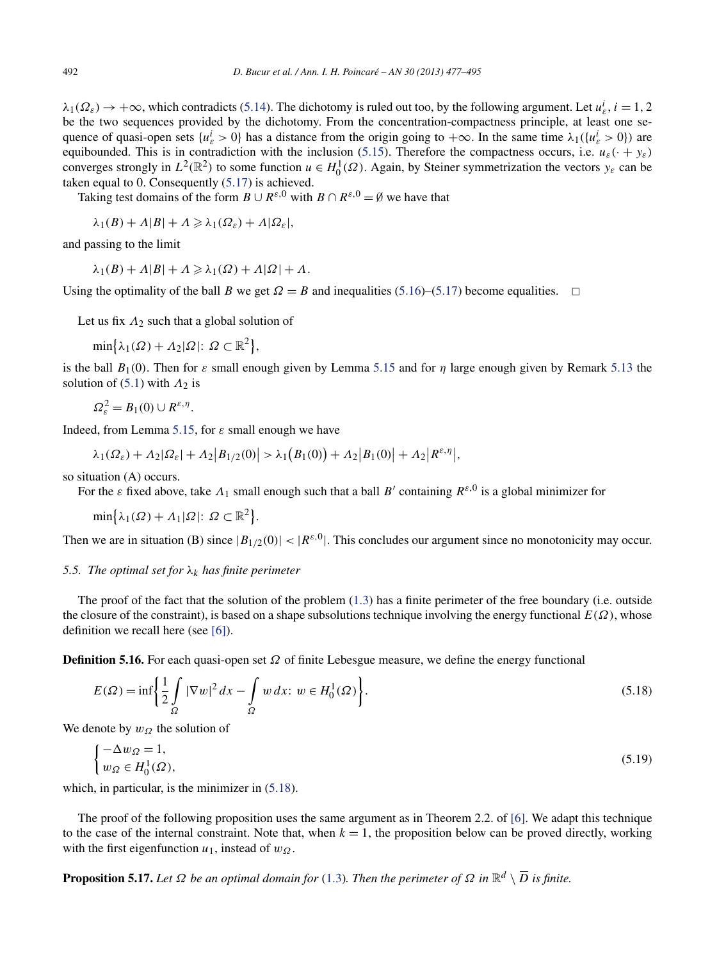<span id="page-15-0"></span> $\lambda_1(\Omega_\varepsilon) \to +\infty$ , which contradicts [\(5.14\)](#page-14-0). The dichotomy is ruled out too, by the following argument. Let  $u_\varepsilon^i$ ,  $i = 1, 2$ be the two sequences provided by the dichotomy. From the concentration-compactness principle, at least one sequence of quasi-open sets  $\{u_{\varepsilon}^i > 0\}$  has a distance from the origin going to  $+\infty$ . In the same time  $\lambda_1(\{u_{\varepsilon}^i > 0\})$  are equibounded. This is in contradiction with the inclusion [\(5.15\)](#page-14-0). Therefore the compactness occurs, i.e.  $u_{\varepsilon}(\cdot + y_{\varepsilon})$ converges strongly in  $L^2(\mathbb{R}^2)$  to some function  $u \in H_0^1(\Omega)$ . Again, by Steiner symmetrization the vectors  $y_\varepsilon$  can be taken equal to 0. Consequently [\(5.17\)](#page-14-0) is achieved.

Taking test domains of the form  $B \cup R^{\varepsilon,0}$  with  $B \cap R^{\varepsilon,0} = \emptyset$  we have that

$$
\lambda_1(B) + \Lambda |B| + \Lambda \geq \lambda_1(\Omega_{\varepsilon}) + \Lambda |\Omega_{\varepsilon}|,
$$

and passing to the limit

$$
\lambda_1(B) + \Lambda |B| + \Lambda \geq \lambda_1(\Omega) + \Lambda |\Omega| + \Lambda.
$$

Using the optimality of the ball *B* we get  $\Omega = B$  and inequalities [\(5.16\)](#page-14-0)–[\(5.17\)](#page-14-0) become equalities.  $\Box$ 

Let us fix *Λ*<sup>2</sup> such that a global solution of

 $\min\{\lambda_1(\Omega) + \Lambda_2|\Omega|: \Omega \subset \mathbb{R}^2\},\$ 

is the ball *B*1*(*0*)*. Then for *ε* small enough given by Lemma [5.15](#page-14-0) and for *η* large enough given by Remark [5.13](#page-12-0) the solution of  $(5.1)$  with  $\Lambda_2$  is

$$
\Omega_{\varepsilon}^2 = B_1(0) \cup R^{\varepsilon,\eta}.
$$

Indeed, from Lemma [5.15,](#page-14-0) for  $\varepsilon$  small enough we have

$$
\lambda_1(\Omega_{\varepsilon}) + \Lambda_2|\Omega_{\varepsilon}| + \Lambda_2|B_{1/2}(0)| > \lambda_1(B_1(0)) + \Lambda_2|B_1(0)| + \Lambda_2|R^{\varepsilon,\eta}|,
$$

so situation (A) occurs.

For the *ε* fixed above, take  $\Lambda_1$  small enough such that a ball *B'* containing  $R^{\varepsilon,0}$  is a global minimizer for

 $\min\{\lambda_1(\Omega) + \Lambda_1|\Omega|: \Omega \subset \mathbb{R}^2\}.$ 

Then we are in situation (B) since  $|B_{1/2}(0)| < |R^{\varepsilon,0}|$ . This concludes our argument since no monotonicity may occur.

# *5.5. The optimal set for*  $\lambda_k$  *has finite perimeter*

The proof of the fact that the solution of the problem [\(1.3\)](#page-1-0) has a finite perimeter of the free boundary (i.e. outside the closure of the constraint), is based on a shape subsolutions technique involving the energy functional  $E(\Omega)$ , whose definition we recall here (see [\[6\]\)](#page-18-0).

**Definition 5.16.** For each quasi-open set *Ω* of finite Lebesgue measure, we define the energy functional

$$
E(\Omega) = \inf \left\{ \frac{1}{2} \int_{\Omega} |\nabla w|^2 dx - \int_{\Omega} w dx : w \in H_0^1(\Omega) \right\}.
$$
 (5.18)

We denote by  $w_{\Omega}$  the solution of

$$
\begin{cases}\n-\Delta w_{\Omega} = 1, \\
w_{\Omega} \in H_0^1(\Omega),\n\end{cases} \tag{5.19}
$$

which, in particular, is the minimizer in  $(5.18)$ .

The proof of the following proposition uses the same argument as in Theorem 2.2. of [\[6\].](#page-18-0) We adapt this technique to the case of the internal constraint. Note that, when  $k = 1$ , the proposition below can be proved directly, working with the first eigenfunction  $u_1$ , instead of  $w_\Omega$ .

**Proposition 5.17.** *Let*  $\Omega$  *be an optimal domain for* [\(1.3\)](#page-1-0)*. Then the perimeter of*  $\Omega$  *in*  $\mathbb{R}^d \setminus \overline{D}$  *is finite.*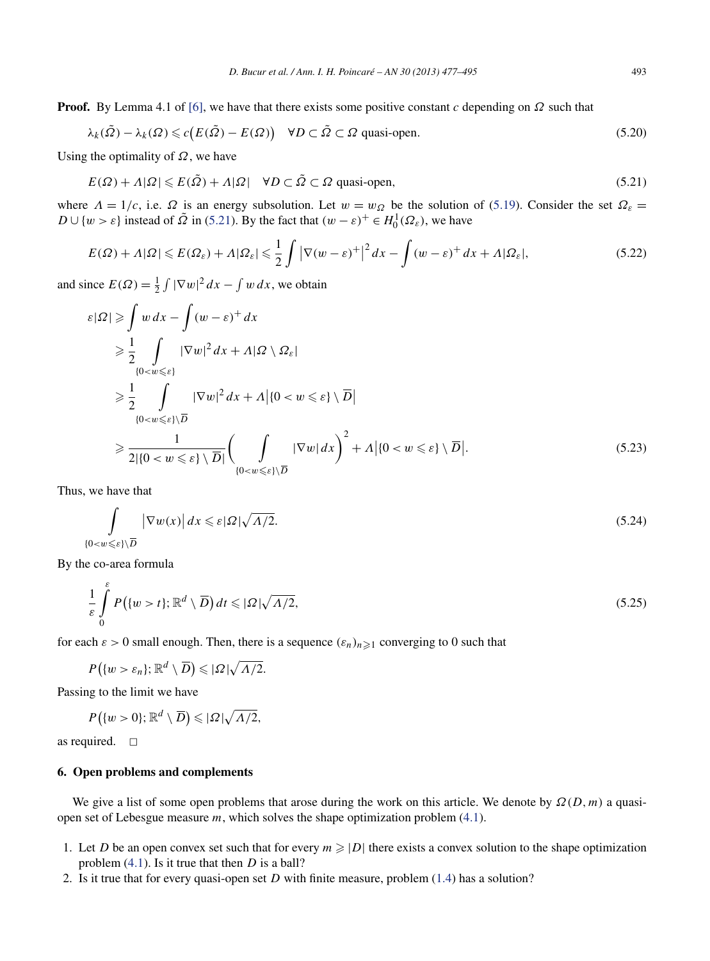<span id="page-16-0"></span>**Proof.** By Lemma 4.1 of [\[6\],](#page-18-0) we have that there exists some positive constant *c* depending on *Ω* such that

$$
\lambda_k(\tilde{\Omega}) - \lambda_k(\Omega) \leq c \big( E(\tilde{\Omega}) - E(\Omega) \big) \quad \forall D \subset \tilde{\Omega} \subset \Omega \text{ quasi-open.}
$$
\n
$$
(5.20)
$$

Using the optimality of *Ω*, we have

$$
E(\Omega) + \Lambda |\Omega| \leqslant E(\tilde{\Omega}) + \Lambda |\Omega| \quad \forall D \subset \tilde{\Omega} \subset \Omega \text{ quasi-open},\tag{5.21}
$$

where  $Λ = 1/c$ , i.e. Ω is an energy subsolution. Let  $w = w<sub>Ω</sub>$  be the solution of [\(5.19\)](#page-15-0). Consider the set  $Ω<sub>ε</sub>$ *D* ∪ {*w* >  $\varepsilon$ } instead of  $\tilde{\Omega}$  in (5.21). By the fact that  $(w - \varepsilon)^+ \in H_0^1(\Omega_\varepsilon)$ , we have

$$
E(\Omega) + \Lambda |\Omega| \leqslant E(\Omega_{\varepsilon}) + \Lambda |\Omega_{\varepsilon}| \leqslant \frac{1}{2} \int |\nabla (w - \varepsilon)^{+}|^{2} dx - \int (w - \varepsilon)^{+} dx + \Lambda |\Omega_{\varepsilon}|,
$$
\n
$$
(5.22)
$$

and since  $E(\Omega) = \frac{1}{2} \int |\nabla w|^2 dx - \int w dx$ , we obtain

$$
\varepsilon |\Omega| \geq \int w \, dx - \int (w - \varepsilon)^+ \, dx
$$
  
\n
$$
\geq \frac{1}{2} \int_{\{0 < w \leqslant \varepsilon\}} |\nabla w|^2 \, dx + A |\Omega \setminus \Omega_{\varepsilon}|
$$
  
\n
$$
\geq \frac{1}{2} \int_{\{0 < w \leqslant \varepsilon\} \setminus \overline{D}} |\nabla w|^2 \, dx + A |\{0 < w \leqslant \varepsilon\} \setminus \overline{D}|
$$
  
\n
$$
\geqslant \frac{1}{2 |\{0 < w \leqslant \varepsilon\} \setminus \overline{D}|} \bigg( \int_{\{0 < w \leqslant \varepsilon\} \setminus \overline{D}} |\nabla w| \, dx \bigg)^2 + A |\{0 < w \leqslant \varepsilon\} \setminus \overline{D}|.
$$
\n(5.23)

Thus, we have that

$$
\int_{\{0 < w \leqslant \varepsilon\} \setminus \overline{D}} |\nabla w(x)| \, dx \leqslant \varepsilon |\Omega| \sqrt{\Lambda/2}.\tag{5.24}
$$

By the co-area formula

$$
\frac{1}{\varepsilon} \int_{0}^{\varepsilon} P\big(\{w > t\}; \mathbb{R}^d \setminus \overline{D}\big) dt \leqslant |\Omega| \sqrt{\Lambda/2},\tag{5.25}
$$

for each  $\varepsilon > 0$  small enough. Then, there is a sequence  $(\varepsilon_n)_{n \geq 1}$  converging to 0 such that

$$
P\big(\{w>\varepsilon_n\};\mathbb{R}^d\setminus\overline{D}\big)\leqslant |\Omega|\sqrt{\Lambda/2}.
$$

Passing to the limit we have

$$
P\big(\{w>0\};\mathbb{R}^d\setminus\overline{D}\big)\leqslant |\Omega|\sqrt{\Lambda/2},
$$

as required.  $\square$ 

# **6. Open problems and complements**

We give a list of some open problems that arose during the work on this article. We denote by *Ω(D,m)* a quasiopen set of Lebesgue measure *m*, which solves the shape optimization problem [\(4.1\)](#page-6-0).

- 1. Let *D* be an open convex set such that for every  $m \geq |D|$  there exists a convex solution to the shape optimization problem [\(4.1\)](#page-6-0). Is it true that then *D* is a ball?
- 2. Is it true that for every quasi-open set *D* with finite measure, problem [\(1.4\)](#page-1-0) has a solution?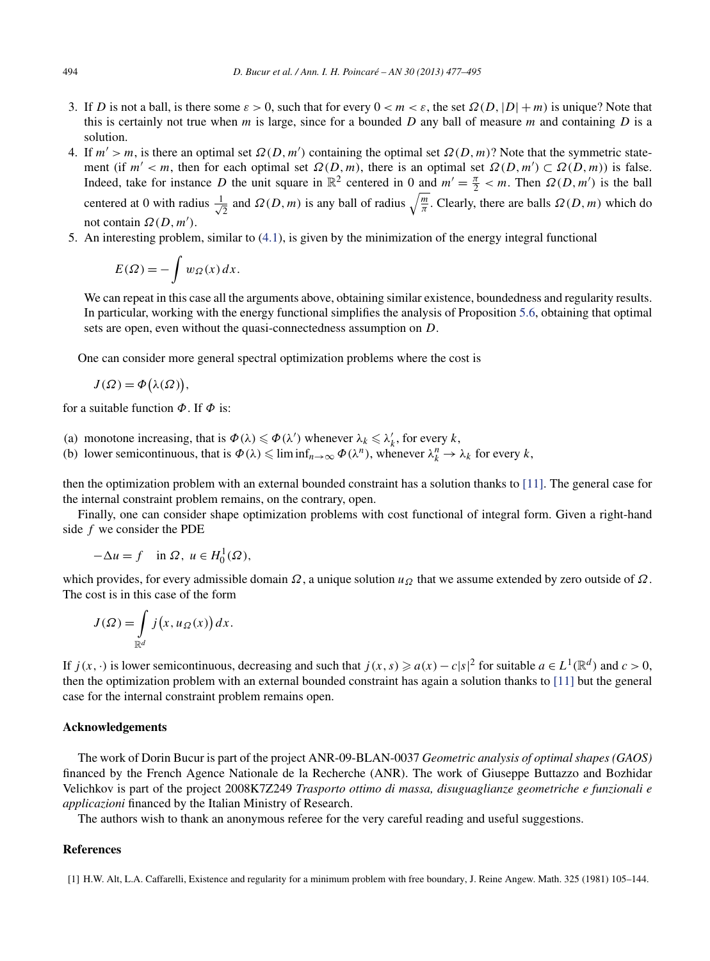- <span id="page-17-0"></span>3. If *D* is not a ball, is there some  $\varepsilon > 0$ , such that for every  $0 < m < \varepsilon$ , the set  $\Omega(D, |D| + m)$  is unique? Note that this is certainly not true when *m* is large, since for a bounded *D* any ball of measure *m* and containing *D* is a solution.
- 4. If  $m' > m$ , is there an optimal set  $\Omega(D, m')$  containing the optimal set  $\Omega(D, m)$ ? Note that the symmetric statement (if  $m' < m$ , then for each optimal set  $\Omega(D,m)$ , there is an optimal set  $\Omega(D,m') \subset \Omega(D,m)$ ) is false. Indeed, take for instance *D* the unit square in  $\mathbb{R}^2$  centered in 0 and  $m' = \frac{\pi}{2} < m$ . Then  $\Omega(D, m')$  is the ball centered at 0 with radius  $\frac{1}{4}$  $\frac{1}{2}$  and *Ω(D,m)* is any ball of radius  $\sqrt{\frac{m}{\pi}}$ . Clearly, there are balls *Ω(D,m)* which do not contain *Ω(D,m )*.
- 5. An interesting problem, similar to [\(4.1\)](#page-6-0), is given by the minimization of the energy integral functional

$$
E(\Omega) = -\int w_{\Omega}(x) dx.
$$

We can repeat in this case all the arguments above, obtaining similar existence, boundedness and regularity results. In particular, working with the energy functional simplifies the analysis of Proposition [5.6,](#page-9-0) obtaining that optimal sets are open, even without the quasi-connectedness assumption on *D*.

One can consider more general spectral optimization problems where the cost is

$$
J(\Omega) = \Phi(\lambda(\Omega)),
$$

for a suitable function *Φ*. If *Φ* is:

- (a) monotone increasing, that is  $\Phi(\lambda) \leq \Phi(\lambda')$  whenever  $\lambda_k \leq \lambda'_k$ , for every *k*,
- (b) lower semicontinuous, that is  $\Phi(\lambda) \leq \liminf_{n \to \infty} \Phi(\lambda^n)$ , whenever  $\lambda_k^n \to \lambda_k$  for every *k*,

then the optimization problem with an external bounded constraint has a solution thanks to [\[11\].](#page-18-0) The general case for the internal constraint problem remains, on the contrary, open.

Finally, one can consider shape optimization problems with cost functional of integral form. Given a right-hand side *f* we consider the PDE

$$
-\Delta u = f \quad \text{in } \Omega, \ u \in H_0^1(\Omega),
$$

which provides, for every admissible domain  $Ω$ , a unique solution  $uΩ$  that we assume extended by zero outside of  $Ω$ . The cost is in this case of the form

$$
J(\Omega) = \int\limits_{\mathbb{R}^d} j(x, u_{\Omega}(x)) dx.
$$

If *j*(*x*, ·) is lower semicontinuous, decreasing and such that  $j(x, s) \ge a(x) - c|s|^2$  for suitable  $a \in L^1(\mathbb{R}^d)$  and  $c > 0$ , then the optimization problem with an external bounded constraint has again a solution thanks to [\[11\]](#page-18-0) but the general case for the internal constraint problem remains open.

## **Acknowledgements**

The work of Dorin Bucur is part of the project ANR-09-BLAN-0037 *Geometric analysis of optimal shapes (GAOS)* financed by the French Agence Nationale de la Recherche (ANR). The work of Giuseppe Buttazzo and Bozhidar Velichkov is part of the project 2008K7Z249 *Trasporto ottimo di massa, disuguaglianze geometriche e funzionali e applicazioni* financed by the Italian Ministry of Research.

The authors wish to thank an anonymous referee for the very careful reading and useful suggestions.

#### **References**

[1] H.W. Alt, L.A. Caffarelli, Existence and regularity for a minimum problem with free boundary, J. Reine Angew. Math. 325 (1981) 105–144.